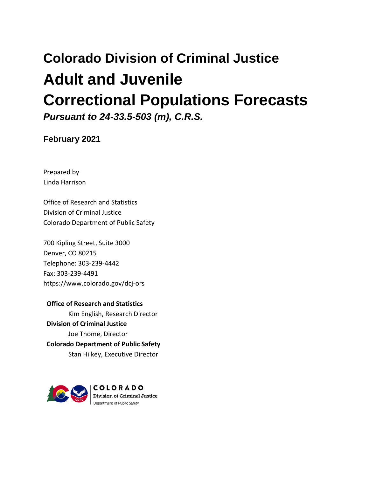# **Colorado Division of Criminal Justice Adult and Juvenile Correctional Populations Forecasts**

*Pursuant to 24-33.5-503 (m), C.R.S.*

**February 2021**

Prepared by Linda Harrison

Office of Research and Statistics Division of Criminal Justice Colorado Department of Public Safety

700 Kipling Street, Suite 3000 Denver, CO 80215 Telephone: 303-239-4442 Fax: 303-239-4491 https://www.colorado.gov/dcj-ors

**Office of Research and Statistics** Kim English, Research Director **Division of Criminal Justice** Joe Thome, Director **Colorado Department of Public Safety** Stan Hilkey, Executive Director

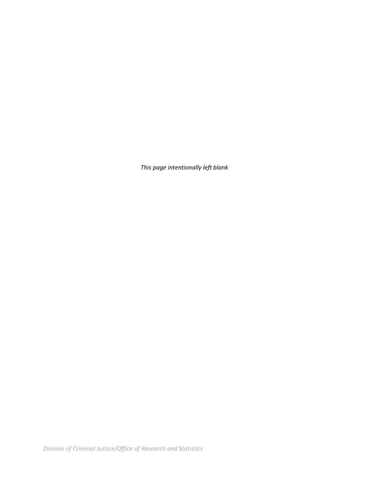*This page intentionally left blank*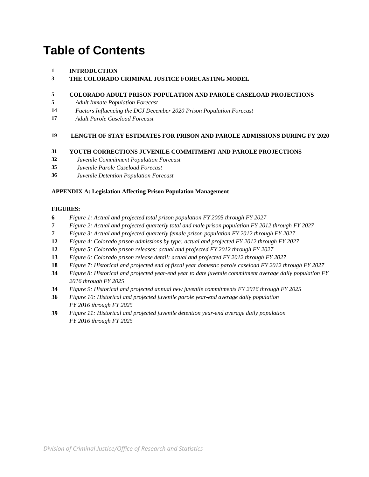# **Table of Contents**

### **INTRODUCTION**

#### **THE COLORADO CRIMINAL JUSTICE FORECASTING MODEL**

#### **COLORADO ADULT PRISON POPULATION AND PAROLE CASELOAD PROJECTIONS**

- *Adult Inmate Population Forecast*
- *Factors Influencing the DCJ December 2020 Prison Population Forecast*
- *Adult Parole Caseload Forecast*

### **LENGTH OF STAY ESTIMATES FOR PRISON AND PAROLE ADMISSIONS DURING FY 2020**

#### **YOUTH CORRECTIONS JUVENILE COMMITMENT AND PAROLE PROJECTIONS**

- *Juvenile Commitment Population Forecast*
- *Juvenile Parole Caseload Forecast*
- *Juvenile Detention Population Forecast*

#### **APPENDIX A: Legislation Affecting Prison Population Management**

#### **FIGURES:**

- *Figure 1: Actual and projected total prison population FY 2005 through FY 2027*
- *Figure 2: Actual and projected quarterly total and male prison population FY 2012 through FY 2027*
- *Figure 3: Actual and projected quarterly female prison population FY 2012 through FY 2027*
- *Figure 4: Colorado prison admissions by type: actual and projected FY 2012 through FY 2027*
- *Figure 5: Colorado prison releases: actual and projected FY 2012 through FY 2027*
- *Figure 6: Colorado prison release detail: actual and projected FY 2012 through FY 2027*
- *Figure 7: Historical and projected end of fiscal year domestic parole caseload FY 2012 through FY 2027*
- *Figure 8: Historical and projected year-end year to date juvenile commitment average daily population FY through FY 2025*
- *Figure 9: Historical and projected annual new juvenile commitments FY 2016 through FY 2025*
- *Figure 10: Historical and projected juvenile parole year-end average daily population FY 2016 through FY 2025*
- *Figure 11: Historical and projected juvenile detention year-end average daily population FY 2016 through FY 2025*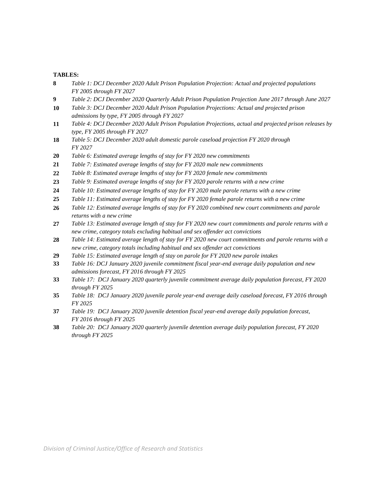#### **TABLES:**

- **8** *Table 1: DCJ December 2020 Adult Prison Population Projection: Actual and projected populations FY 2005 through FY 2027*
- **9** *Table 2: DCJ December 2020 Quarterly Adult Prison Population Projection June 2017 through June 2027*
- **10** *Table 3: DCJ December 2020 Adult Prison Population Projections: Actual and projected prison admissions by type, FY 2005 through FY 2027*
- **11** *Table 4: DCJ December 2020 Adult Prison Population Projections, actual and projected prison releases by type, FY 2005 through FY 2027*
- **18** *Table 5: DCJ December 2020 adult domestic parole caseload projection FY 2020 through FY 2027*
- **20** *Table 6: Estimated avera*g*e lengths of stay for FY 2020 new commitments*
- **21** *Table 7: Estimated average lengths of stay for FY 2020 male new commitments*
- **22** *Table 8: Estimated average lengths of stay for FY 2020 female new commitments*
- **23** *Table 9: Estimated average lengths of stay for FY 2020 parole returns with a new crime*
- **24** *Table 10: Estimated average lengths of stay for FY 2020 male parole returns with a new crime*
- **25** *Table 11: Estimated average lengths of stay for FY 2020 female parole returns with a new crime*
- **26** *Table 12: Estimated average lengths of stay for FY 2020 combined new court commitments and parole returns with a new crime*
- **27** *Table 13: Estimated average length of stay for FY 2020 new court commitments and parole returns with a new crime, category totals excluding habitual and sex offender act convictions*
- **28** *Table 14: Estimated average length of stay for FY 2020 new court commitments and parole returns with a new crime, category totals including habitual and sex offender act convictions*
- **29** *Table 15: Estimated average length of stay on parole for FY 2020 new parole intakes*
- **33** *Table 16: DCJ January 2020 juvenile commitment fiscal year-end average daily population and new admissions forecast, FY 2016 through FY 2025*
- **33** *Table 17: DCJ January 2020 quarterly juvenile commitment average daily population forecast, FY 2020 through FY 2025*
- **35** *Table 18: DCJ January 2020 juvenile parole year-end average daily caseload forecast, FY 2016 through FY 2025*
- **37** *Table 19: DCJ January 2020 juvenile detention fiscal year-end average daily population forecast, FY 2016 through FY 2025*
- **38** *Table 20: DCJ January 2020 quarterly juvenile detention average daily population forecast, FY 2020 through FY 2025*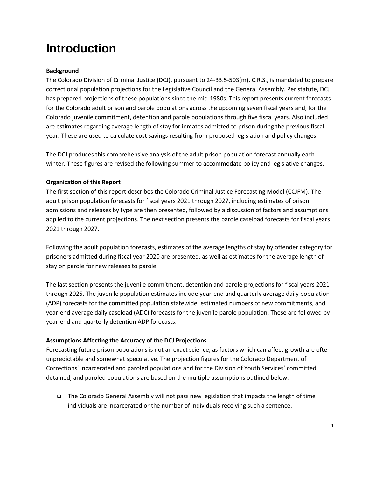# **Introduction**

### **Background**

The Colorado Division of Criminal Justice (DCJ), pursuant to 24-33.5-503(m), C.R.S., is mandated to prepare correctional population projections for the Legislative Council and the General Assembly. Per statute, DCJ has prepared projections of these populations since the mid-1980s. This report presents current forecasts for the Colorado adult prison and parole populations across the upcoming seven fiscal years and, for the Colorado juvenile commitment, detention and parole populations through five fiscal years. Also included are estimates regarding average length of stay for inmates admitted to prison during the previous fiscal year. These are used to calculate cost savings resulting from proposed legislation and policy changes.

The DCJ produces this comprehensive analysis of the adult prison population forecast annually each winter. These figures are revised the following summer to accommodate policy and legislative changes.

### **Organization of this Report**

The first section of this report describes the Colorado Criminal Justice Forecasting Model (CCJFM). The adult prison population forecasts for fiscal years 2021 through 2027, including estimates of prison admissions and releases by type are then presented, followed by a discussion of factors and assumptions applied to the current projections. The next section presents the parole caseload forecasts for fiscal years 2021 through 2027.

Following the adult population forecasts, estimates of the average lengths of stay by offender category for prisoners admitted during fiscal year 2020 are presented, as well as estimates for the average length of stay on parole for new releases to parole.

The last section presents the juvenile commitment, detention and parole projections for fiscal years 2021 through 2025. The juvenile population estimates include year-end and quarterly average daily population (ADP) forecasts for the committed population statewide, estimated numbers of new commitments, and year-end average daily caseload (ADC) forecasts for the juvenile parole population. These are followed by year-end and quarterly detention ADP forecasts.

### **Assumptions Affecting the Accuracy of the DCJ Projections**

Forecasting future prison populations is not an exact science, as factors which can affect growth are often unpredictable and somewhat speculative. The projection figures for the Colorado Department of Corrections' incarcerated and paroled populations and for the Division of Youth Services' committed, detained, and paroled populations are based on the multiple assumptions outlined below.

 The Colorado General Assembly will not pass new legislation that impacts the length of time individuals are incarcerated or the number of individuals receiving such a sentence.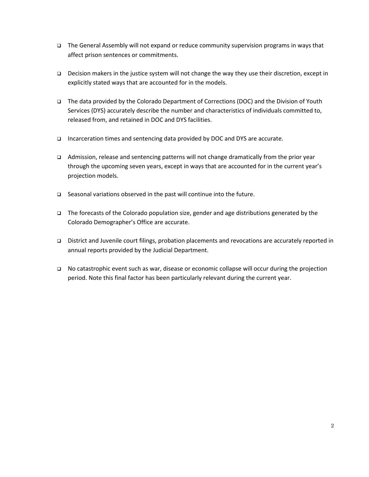- The General Assembly will not expand or reduce community supervision programs in ways that affect prison sentences or commitments.
- Decision makers in the justice system will not change the way they use their discretion, except in explicitly stated ways that are accounted for in the models.
- The data provided by the Colorado Department of Corrections (DOC) and the Division of Youth Services (DYS) accurately describe the number and characteristics of individuals committed to, released from, and retained in DOC and DYS facilities.
- Incarceration times and sentencing data provided by DOC and DYS are accurate.
- Admission, release and sentencing patterns will not change dramatically from the prior year through the upcoming seven years, except in ways that are accounted for in the current year's projection models.
- □ Seasonal variations observed in the past will continue into the future.
- $\Box$  The forecasts of the Colorado population size, gender and age distributions generated by the Colorado Demographer's Office are accurate.
- District and Juvenile court filings, probation placements and revocations are accurately reported in annual reports provided by the Judicial Department.
- No catastrophic event such as war, disease or economic collapse will occur during the projection period. Note this final factor has been particularly relevant during the current year.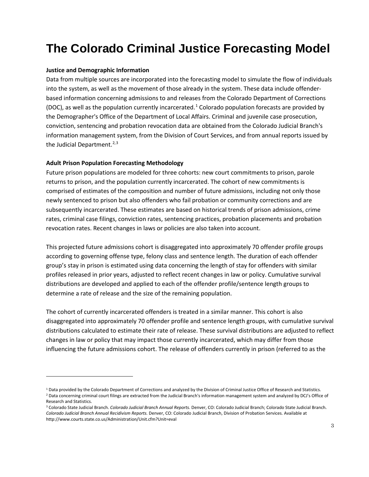# **The Colorado Criminal Justice Forecasting Model**

#### **Justice and Demographic Information**

Data from multiple sources are incorporated into the forecasting model to simulate the flow of individuals into the system, as well as the movement of those already in the system. These data include offenderbased information concerning admissions to and releases from the Colorado Department of Corrections (DOC), as well as the population currently incarcerated.<sup>[1](#page-6-0)</sup> Colorado population forecasts are provided by the Demographer's Office of the Department of Local Affairs. Criminal and juvenile case prosecution, conviction, sentencing and probation revocation data are obtained from the Colorado Judicial Branch's information management system, from the Division of Court Services, and from annual reports issued by the Judicial Department.<sup>[2](#page-6-1),[3](#page-6-2)</sup>

### **Adult Prison Population Forecasting Methodology**

 $\overline{a}$ 

Future prison populations are modeled for three cohorts: new court commitments to prison, parole returns to prison, and the population currently incarcerated. The cohort of new commitments is comprised of estimates of the composition and number of future admissions, including not only those newly sentenced to prison but also offenders who fail probation or community corrections and are subsequently incarcerated. These estimates are based on historical trends of prison admissions, crime rates, criminal case filings, conviction rates, sentencing practices, probation placements and probation revocation rates. Recent changes in laws or policies are also taken into account.

This projected future admissions cohort is disaggregated into approximately 70 offender profile groups according to governing offense type, felony class and sentence length. The duration of each offender group's stay in prison is estimated using data concerning the length of stay for offenders with similar profiles released in prior years, adjusted to reflect recent changes in law or policy. Cumulative survival distributions are developed and applied to each of the offender profile/sentence length groups to determine a rate of release and the size of the remaining population.

The cohort of currently incarcerated offenders is treated in a similar manner. This cohort is also disaggregated into approximately 70 offender profile and sentence length groups, with cumulative survival distributions calculated to estimate their rate of release. These survival distributions are adjusted to reflect changes in law or policy that may impact those currently incarcerated, which may differ from those influencing the future admissions cohort. The release of offenders currently in prison (referred to as the

<span id="page-6-1"></span><span id="page-6-0"></span><sup>&</sup>lt;sup>1</sup> Data provided by the Colorado Department of Corrections and analyzed by the Division of Criminal Justice Office of Research and Statistics.<br><sup>2</sup> Data concerning criminal court filings are extracted from the Judicial Bra Research and Statistics.

<span id="page-6-2"></span><sup>3</sup> Colorado State Judicial Branch. *Colorado Judicial Branch Annual Reports.* Denver, CO: Colorado Judicial Branch; Colorado State Judicial Branch. *Colorado Judicial Branch Annual Recidivism Reports.* Denver, CO: Colorado Judicial Branch, Division of Probation Services. Available at http://www.courts.state.co.us/Administration/Unit.cfm?Unit=eval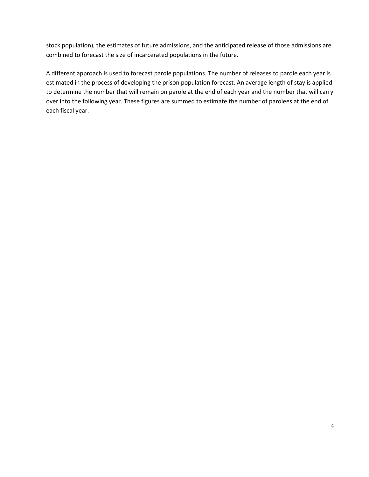stock population), the estimates of future admissions, and the anticipated release of those admissions are combined to forecast the size of incarcerated populations in the future.

A different approach is used to forecast parole populations. The number of releases to parole each year is estimated in the process of developing the prison population forecast. An average length of stay is applied to determine the number that will remain on parole at the end of each year and the number that will carry over into the following year. These figures are summed to estimate the number of parolees at the end of each fiscal year.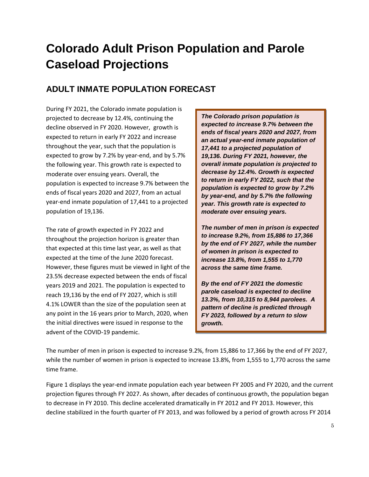# **Colorado Adult Prison Population and Parole Caseload Projections**

### **ADULT INMATE POPULATION FORECAST**

During FY 2021, the Colorado inmate population is projected to decrease by 12.4%, continuing the decline observed in FY 2020. However, growth is expected to return in early FY 2022 and increase throughout the year, such that the population is expected to grow by 7.2% by year-end, and by 5.7% the following year. This growth rate is expected to moderate over ensuing years. Overall, the population is expected to increase 9.7% between the ends of fiscal years 2020 and 2027, from an actual year-end inmate population of 17,441 to a projected population of 19,136.

The rate of growth expected in FY 2022 and throughout the projection horizon is greater than that expected at this time last year, as well as that expected at the time of the June 2020 forecast. However, these figures must be viewed in light of the 23.5% decrease expected between the ends of fiscal years 2019 and 2021. The population is expected to reach 19,136 by the end of FY 2027, which is still 4.1% LOWER than the size of the population seen at any point in the 16 years prior to March, 2020, when the initial directives were issued in response to the advent of the COVID-19 pandemic.

*The Colorado prison population is expected to increase 9.7% between the ends of fiscal years 2020 and 2027, from an actual year-end inmate population of 17,441 to a projected population of 19,136. During FY 2021, however, the overall inmate population is projected to decrease by 12.4%. Growth is expected to return in early FY 2022, such that the population is expected to grow by 7.2% by year-end, and by 5.7% the following year. This growth rate is expected to moderate over ensuing years.* 

*The number of men in prison is expected to increase 9.2%, from 15,886 to 17,366 by the end of FY 2027, while the number of women in prison is expected to increase 13.8%, from 1,555 to 1,770 across the same time frame.*

*By the end of FY 2021 the domestic parole caseload is expected to decline 13.3%, from 10,315 to 8,944 parolees. A pattern of decline is predicted through FY 2023, followed by a return to slow growth.* 

The number of men in prison is expected to increase 9.2%, from 15,886 to 17,366 by the end of FY 2027, while the number of women in prison is expected to increase 13.8%, from 1,555 to 1,770 across the same time frame.

Figure 1 displays the year-end inmate population each year between FY 2005 and FY 2020, and the current projection figures through FY 2027. As shown, after decades of continuous growth, the population began to decrease in FY 2010. This decline accelerated dramatically in FY 2012 and FY 2013. However, this decline stabilized in the fourth quarter of FY 2013, and was followed by a period of growth across FY 2014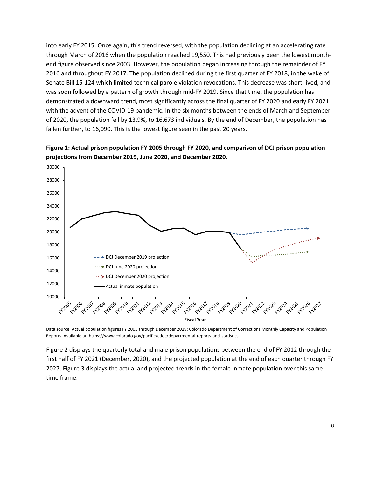into early FY 2015. Once again, this trend reversed, with the population declining at an accelerating rate through March of 2016 when the population reached 19,550. This had previously been the lowest monthend figure observed since 2003. However, the population began increasing through the remainder of FY 2016 and throughout FY 2017. The population declined during the first quarter of FY 2018, in the wake of Senate Bill 15-124 which limited technical parole violation revocations. This decrease was short-lived, and was soon followed by a pattern of growth through mid-FY 2019. Since that time, the population has demonstrated a downward trend, most significantly across the final quarter of FY 2020 and early FY 2021 with the advent of the COVID-19 pandemic. In the six months between the ends of March and September of 2020, the population fell by 13.9%, to 16,673 individuals. By the end of December, the population has fallen further, to 16,090. This is the lowest figure seen in the past 20 years.



**Figure 1: Actual prison population FY 2005 through FY 2020, and comparison of DCJ prison population projections from December 2019, June 2020, and December 2020.** 

Data source: Actual population figures FY 2005 through December 2019: Colorado Department of Corrections Monthly Capacity and Population Reports. Available at[: https://www.colorado.gov/pacific/cdoc/departmental-reports-and-statistics](https://www.colorado.gov/pacific/cdoc/departmental-reports-and-statistics)

Figure 2 displays the quarterly total and male prison populations between the end of FY 2012 through the first half of FY 2021 (December, 2020), and the projected population at the end of each quarter through FY 2027. Figure 3 displays the actual and projected trends in the female inmate population over this same time frame.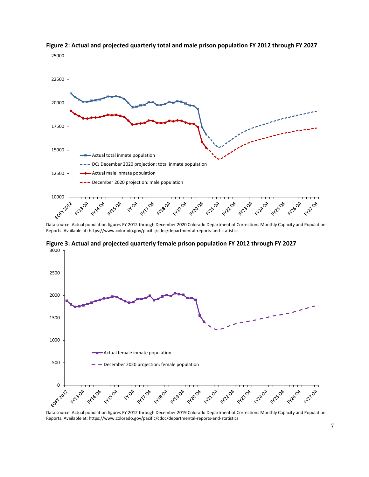

**Figure 2: Actual and projected quarterly total and male prison population FY 2012 through FY 2027**

Data source: Actual population figures FY 2012 through December 2020 Colorado Department of Corrections Monthly Capacity and Population Reports. Available at[: https://www.colorado.gov/pacific/cdoc/departmental-reports-and-statistics](https://www.colorado.gov/pacific/cdoc/departmental-reports-and-statistics)



**Figure 3: Actual and projected quarterly female prison population FY 2012 through FY 2027**

Reports. Available at[: https://www.colorado.gov/pacific/cdoc/departmental-reports-and-statistics](https://www.colorado.gov/pacific/cdoc/departmental-reports-and-statistics)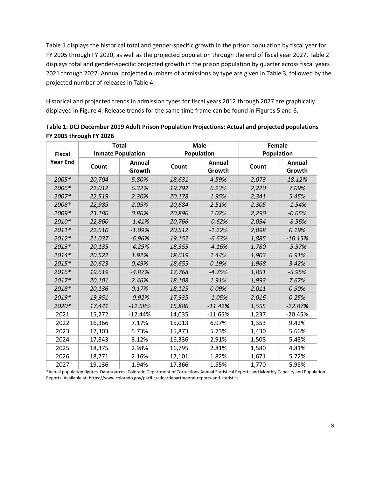Table 1 displays the historical total and gender-specific growth in the prison population by fiscal year for FY 2005 through FY 2020, as well as the projected population through the end of fiscal year 2027. Table 2 displays total and gender-specific projected growth in the prison population by quarter across fiscal years 2021 through 2027. Annual projected numbers of admissions by type are given in Table 3, followed by the projected number of releases in Table 4.

Historical and projected trends in admission types for fiscal years 2012 through 2027 are graphically displayed in Figure 4. Release trends for the same time frame can be found in Figures 5 and 6.

|                                           | <b>Male</b><br><b>Total</b> |           | Female |            |       |            |
|-------------------------------------------|-----------------------------|-----------|--------|------------|-------|------------|
| <b>Inmate Population</b><br><b>Fiscal</b> |                             |           |        | Population |       | Population |
| <b>Year End</b>                           | Count                       | Annual    | Count  | Annual     | Count | Annual     |
|                                           |                             | Growth    |        | Growth     |       | Growth     |
| 2005*                                     | 20,704                      | 5.80%     | 18,631 | 4.59%      | 2,073 | 18.12%     |
| 2006*                                     | 22,012                      | 6.32%     | 19,792 | 6.23%      | 2,220 | 7.09%      |
| 2007*                                     | 22,519                      | 2.30%     | 20,178 | 1.95%      | 2,341 | 5.45%      |
| 2008*                                     | 22,989                      | 2.09%     | 20,684 | 2.51%      | 2,305 | $-1.54%$   |
| 2009*                                     | 23,186                      | 0.86%     | 20,896 | 1.02%      | 2,290 | $-0.65%$   |
| 2010*                                     | 22,860                      | $-1.41%$  | 20,766 | $-0.62%$   | 2,094 | $-8.56%$   |
| $2011*$                                   | 22,610                      | $-1.09%$  | 20,512 | $-1.22%$   | 2,098 | 0.19%      |
| 2012*                                     | 21,037                      | $-6.96%$  | 19,152 | $-6.63%$   | 1,885 | $-10.15%$  |
| 2013*                                     | 20,135                      | $-4.29%$  | 18,355 | $-4.16%$   | 1,780 | $-5.57%$   |
| 2014*                                     | 20,522                      | 1.92%     | 18,619 | 1.44%      | 1,903 | 6.91%      |
| 2015*                                     | 20,623                      | 0.49%     | 18,655 | 0.19%      | 1,968 | 3.42%      |
| 2016*                                     | 19,619                      | $-4.87%$  | 17,768 | $-4.75%$   | 1,851 | $-5.95%$   |
| 2017*                                     | 20,101                      | 2.46%     | 18,108 | 1.91%      | 1,993 | 7.67%      |
| 2018*                                     | 20,136                      | 0.17%     | 18,125 | 0.09%      | 2,011 | 0.90%      |
| 2019*                                     | 19,951                      | $-0.92%$  | 17,935 | $-1.05%$   | 2,016 | 0.25%      |
| 2020*                                     | 17,441                      | $-12.58%$ | 15,886 | $-11.42%$  | 1,555 | $-22.87%$  |
| 2021                                      | 15,272                      | $-12.44%$ | 14,035 | $-11.65%$  | 1,237 | $-20.45%$  |
| 2022                                      | 16,366                      | 7.17%     | 15,013 | 6.97%      | 1,353 | 9.42%      |
| 2023                                      | 17,303                      | 5.73%     | 15,873 | 5.73%      | 1,430 | 5.66%      |
| 2024                                      | 17,843                      | 3.12%     | 16,336 | 2.91%      | 1,508 | 5.43%      |
| 2025                                      | 18,375                      | 2.98%     | 16,795 | 2.81%      | 1,580 | 4.81%      |
| 2026                                      | 18,771                      | 2.16%     | 17,101 | 1.82%      | 1,671 | 5.72%      |
| 2027                                      | 19,136                      | 1.94%     | 17,366 | 1.55%      | 1,770 | 5.95%      |

**Table 1: DCJ December 2019 Adult Prison Population Projections: Actual and projected populations FY 2005 through FY 2026**

\*Actual population figures. Data sources: Colorado Department of Corrections Annual Statistical Reports and Monthly Capacity and Population Reports. Available at[: https://www.colorado.gov/pacific/cdoc/departmental-reports-and-statistics](https://www.colorado.gov/pacific/cdoc/departmental-reports-and-statistics)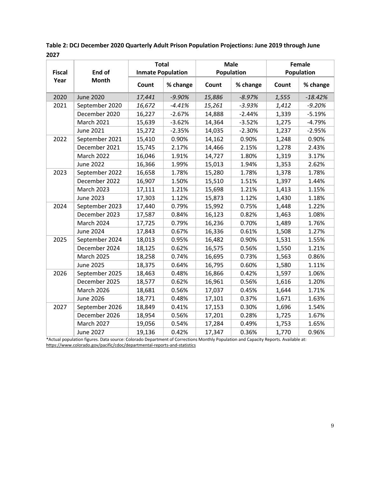| Table 2: DCJ December 2020 Quarterly Adult Prison Population Projections: June 2019 through June |  |
|--------------------------------------------------------------------------------------------------|--|
| 2027                                                                                             |  |

|               |                   | <b>Total</b>             |          | <b>Male</b> |            | Female |            |  |
|---------------|-------------------|--------------------------|----------|-------------|------------|--------|------------|--|
| <b>Fiscal</b> | End of            | <b>Inmate Population</b> |          |             | Population |        | Population |  |
| Year          | Month             | Count                    | % change | Count       | % change   | Count  | % change   |  |
| 2020          | <b>June 2020</b>  | 17,441                   | $-9.90%$ | 15,886      | $-8.97%$   | 1,555  | $-18.42%$  |  |
| 2021          | September 2020    | 16,672                   | $-4.41%$ | 15,261      | $-3.93%$   | 1,412  | $-9.20%$   |  |
|               | December 2020     | 16,227                   | $-2.67%$ | 14,888      | $-2.44%$   | 1,339  | $-5.19%$   |  |
|               | <b>March 2021</b> | 15,639                   | $-3.62%$ | 14,364      | $-3.52%$   | 1,275  | $-4.79%$   |  |
|               | <b>June 2021</b>  | 15,272                   | $-2.35%$ | 14,035      | $-2.30%$   | 1,237  | $-2.95%$   |  |
| 2022          | September 2021    | 15,410                   | 0.90%    | 14,162      | 0.90%      | 1,248  | 0.90%      |  |
|               | December 2021     | 15,745                   | 2.17%    | 14,466      | 2.15%      | 1,278  | 2.43%      |  |
|               | March 2022        | 16,046                   | 1.91%    | 14,727      | 1.80%      | 1,319  | 3.17%      |  |
|               | <b>June 2022</b>  | 16,366                   | 1.99%    | 15,013      | 1.94%      | 1,353  | 2.62%      |  |
| 2023          | September 2022    | 16,658                   | 1.78%    | 15,280      | 1.78%      | 1,378  | 1.78%      |  |
|               | December 2022     | 16,907                   | 1.50%    | 15,510      | 1.51%      | 1,397  | 1.44%      |  |
|               | <b>March 2023</b> | 17,111                   | 1.21%    | 15,698      | 1.21%      | 1,413  | 1.15%      |  |
|               | <b>June 2023</b>  | 17,303                   | 1.12%    | 15,873      | 1.12%      | 1,430  | 1.18%      |  |
| 2024          | September 2023    | 17,440                   | 0.79%    | 15,992      | 0.75%      | 1,448  | 1.22%      |  |
|               | December 2023     | 17,587                   | 0.84%    | 16,123      | 0.82%      | 1,463  | 1.08%      |  |
|               | March 2024        | 17,725                   | 0.79%    | 16,236      | 0.70%      | 1,489  | 1.76%      |  |
|               | <b>June 2024</b>  | 17,843                   | 0.67%    | 16,336      | 0.61%      | 1,508  | 1.27%      |  |
| 2025          | September 2024    | 18,013                   | 0.95%    | 16,482      | 0.90%      | 1,531  | 1.55%      |  |
|               | December 2024     | 18,125                   | 0.62%    | 16,575      | 0.56%      | 1,550  | 1.21%      |  |
|               | <b>March 2025</b> | 18,258                   | 0.74%    | 16,695      | 0.73%      | 1,563  | 0.86%      |  |
|               | <b>June 2025</b>  | 18,375                   | 0.64%    | 16,795      | 0.60%      | 1,580  | 1.11%      |  |
| 2026          | September 2025    | 18,463                   | 0.48%    | 16,866      | 0.42%      | 1,597  | 1.06%      |  |
|               | December 2025     | 18,577                   | 0.62%    | 16,961      | 0.56%      | 1,616  | 1.20%      |  |
|               | <b>March 2026</b> | 18,681                   | 0.56%    | 17,037      | 0.45%      | 1,644  | 1.71%      |  |
|               | <b>June 2026</b>  | 18,771                   | 0.48%    | 17,101      | 0.37%      | 1,671  | 1.63%      |  |
| 2027          | September 2026    | 18,849                   | 0.41%    | 17,153      | 0.30%      | 1,696  | 1.54%      |  |
|               | December 2026     | 18,954                   | 0.56%    | 17,201      | 0.28%      | 1,725  | 1.67%      |  |
|               | March 2027        | 19,056                   | 0.54%    | 17,284      | 0.49%      | 1,753  | 1.65%      |  |
|               | <b>June 2027</b>  | 19,136                   | 0.42%    | 17,347      | 0.36%      | 1,770  | 0.96%      |  |

\*Actual population figures. Data source: Colorado Department of Corrections Monthly Population and Capacity Reports. Available at: <https://www.colorado.gov/pacific/cdoc/departmental-reports-and-statistics>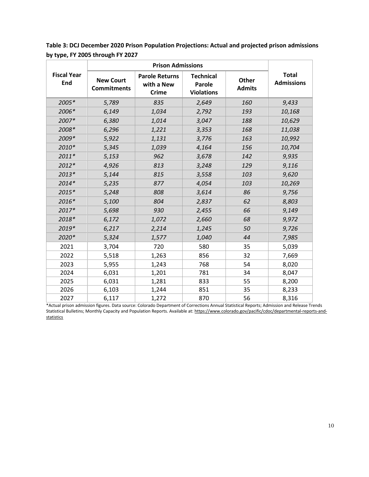| <b>Fiscal Year</b><br>End | <b>New Court</b><br><b>Commitments</b> | <b>Parole Returns</b><br>with a New<br><b>Crime</b> | <b>Technical</b><br>Parole<br><b>Violations</b> | Other<br><b>Admits</b> | <b>Total</b><br><b>Admissions</b> |
|---------------------------|----------------------------------------|-----------------------------------------------------|-------------------------------------------------|------------------------|-----------------------------------|
| 2005*                     | 5,789                                  | 835                                                 | 2,649                                           | 160                    | 9,433                             |
| 2006*                     | 6,149                                  | 1,034                                               | 2,792                                           | 193                    | 10,168                            |
| 2007*                     | 6,380                                  | 1,014                                               | 3,047                                           | 188                    | 10,629                            |
| 2008*                     | 6,296                                  | 1,221                                               | 3,353                                           | 168                    | 11,038                            |
| 2009*                     | 5,922                                  | 1,131                                               | 3,776                                           | 163                    | 10,992                            |
| 2010*                     | 5,345                                  | 1,039                                               | 4,164                                           | 156                    | 10,704                            |
| $2011*$                   | 5,153                                  | 962                                                 | 3,678                                           | 142                    | 9,935                             |
| 2012*                     | 4,926                                  | 813                                                 | 3,248                                           | 129                    | 9,116                             |
| 2013*                     | 5,144                                  | 815                                                 | 3,558                                           | 103                    | 9,620                             |
| 2014*                     | 5,235                                  | 877                                                 | 4,054                                           | 103                    | 10,269                            |
| 2015*                     | 5,248                                  | 808                                                 | 3,614                                           | 86                     | 9,756                             |
| 2016*                     | 5,100                                  | 804                                                 | 2,837                                           | 62                     | 8,803                             |
| 2017*                     | 5,698                                  | 930                                                 | 2,455                                           | 66                     | 9,149                             |
| 2018*                     | 6,172                                  | 1,072                                               | 2,660                                           | 68                     | 9,972                             |
| 2019*                     | 6,217                                  | 2,214                                               | 1,245                                           | 50                     | 9,726                             |
| 2020*                     | 5,324                                  | 1,577                                               | 1,040                                           | 44                     | 7,985                             |
| 2021                      | 3,704                                  | 720                                                 | 580                                             | 35                     | 5,039                             |
| 2022                      | 5,518                                  | 1,263                                               | 856                                             | 32                     | 7,669                             |
| 2023                      | 5,955                                  | 1,243                                               | 768                                             | 54                     | 8,020                             |
| 2024                      | 6,031                                  | 1,201                                               | 781                                             | 34                     | 8,047                             |
| 2025                      | 6,031                                  | 1,281                                               | 833                                             | 55                     | 8,200                             |
| 2026                      | 6,103                                  | 1,244                                               | 851                                             | 35                     | 8,233                             |
| 2027                      | 6,117                                  | 1,272                                               | 870                                             | 56                     | 8,316                             |

**Table 3: DCJ December 2020 Prison Population Projections: Actual and projected prison admissions by type, FY 2005 through FY 2027**

\*Actual prison admission figures. Data source: Colorado Department of Corrections Annual Statistical Reports; Admission and Release Trends Statistical Bulletins; Monthly Capacity and Population Reports. Available at[: https://www.colorado.gov/pacific/cdoc/departmental-reports-and](https://www.colorado.gov/pacific/cdoc/departmental-reports-and-statistics)[statistics](https://www.colorado.gov/pacific/cdoc/departmental-reports-and-statistics)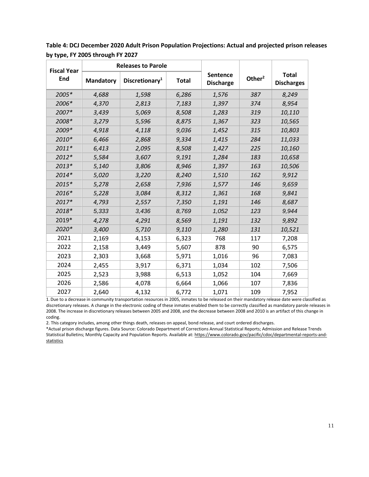| <b>Fiscal Year</b> |                  | <b>Releases to Parole</b>  |              |                              |                    |                                   |
|--------------------|------------------|----------------------------|--------------|------------------------------|--------------------|-----------------------------------|
| <b>End</b>         | <b>Mandatory</b> | Discretionary <sup>1</sup> | <b>Total</b> | Sentence<br><b>Discharge</b> | Other <sup>2</sup> | <b>Total</b><br><b>Discharges</b> |
| 2005*              | 4,688            | 1,598                      | 6,286        | 1,576                        | 387                | 8,249                             |
| 2006*              | 4,370            | 2,813                      | 7,183        | 1,397                        | 374                | 8,954                             |
| 2007*              | 3,439            | 5,069                      | 8,508        | 1,283                        | 319                | 10,110                            |
| 2008*              | 3,279            | 5,596                      | 8,875        | 1,367                        | 323                | 10,565                            |
| 2009*              | 4,918            | 4,118                      | 9,036        | 1,452                        | 315                | 10,803                            |
| 2010*              | 6,466            | 2,868                      | 9,334        | 1,415                        | 284                | 11,033                            |
| $2011*$            | 6,413            | 2,095                      | 8,508        | 1,427                        | 225                | 10,160                            |
| 2012*              | 5,584            | 3,607                      | 9,191        | 1,284                        | 183                | 10,658                            |
| 2013*              | 5,140            | 3,806                      | 8,946        | 1,397                        | 163                | 10,506                            |
| 2014*              | 5,020            | 3,220                      | 8,240        | 1,510                        | 162                | 9,912                             |
| 2015*              | 5,278            | 2,658                      | 7,936        | 1,577                        | 146                | 9,659                             |
| 2016*              | 5,228            | 3,084                      | 8,312        | 1,361                        | 168                | 9,841                             |
| 2017*              | 4,793            | 2,557                      | 7,350        | 1,191                        | 146                | 8,687                             |
| 2018*              | 5,333            | 3,436                      | 8,769        | 1,052                        | 123                | 9,944                             |
| 2019*              | 4,278            | 4,291                      | 8,569        | 1,191                        | 132                | 9,892                             |
| 2020*              | 3,400            | 5,710                      | 9,110        | 1,280                        | 131                | 10,521                            |
| 2021               | 2,169            | 4,153                      | 6,323        | 768                          | 117                | 7,208                             |
| 2022               | 2,158            | 3,449                      | 5,607        | 878                          | 90                 | 6,575                             |
| 2023               | 2,303            | 3,668                      | 5,971        | 1,016                        | 96                 | 7,083                             |
| 2024               | 2,455            | 3,917                      | 6,371        | 1,034                        | 102                | 7,506                             |
| 2025               | 2,523            | 3,988                      | 6,513        | 1,052                        | 104                | 7,669                             |
| 2026               | 2,586            | 4,078                      | 6,664        | 1,066                        | 107                | 7,836                             |
| 2027               | 2,640            | 4,132                      | 6,772        | 1,071                        | 109                | 7,952                             |

**Table 4: DCJ December 2020 Adult Prison Population Projections: Actual and projected prison releases by type, FY 2005 through FY 2027**

1.Due to a decrease in community transportation resources in 2005, inmates to be released on their mandatory release date were classified as discretionary releases. A change in the electronic coding of these inmates enabled them to be correctly classified as mandatory parole releases in 2008. The increase in discretionary releases between 2005 and 2008, and the decrease between 2008 and 2010 is an artifact of this change in coding.

2. This category includes, among other things death, releases on appeal, bond release, and court ordered discharges.

\*Actual prison discharge figures. Data Source: Colorado Department of Corrections Annual Statistical Reports; Admission and Release Trends Statistical Bulletins; Monthly Capacity and Population Reports. Available at: [https://www.colorado.gov/pacific/cdoc/departmental-reports-and](https://www.colorado.gov/pacific/cdoc/departmental-reports-and-statistics)[statistics](https://www.colorado.gov/pacific/cdoc/departmental-reports-and-statistics)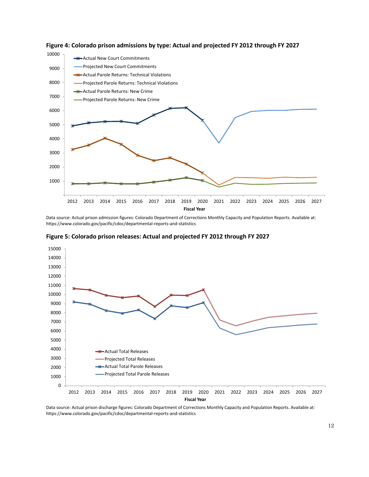

**Figure 4: Colorado prison admissions by type: Actual and projected FY 2012 through FY 2027**

Data source: Actual prison admission figures: Colorado Department of Corrections Monthly Capacity and Population Reports. Available at: <https://www.colorado.gov/pacific/cdoc/departmental-reports-and-statistics>



**Figure 5: Colorado prison releases: Actual and projected FY 2012 through FY 2027**

Data source: Actual prison discharge figures: Colorado Department of Corrections Monthly Capacity and Population Reports. Available at: <https://www.colorado.gov/pacific/cdoc/departmental-reports-and-statistics>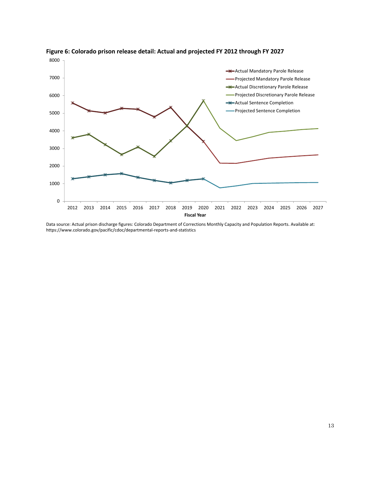



Data source: Actual prison discharge figures: Colorado Department of Corrections Monthly Capacity and Population Reports. Available at: <https://www.colorado.gov/pacific/cdoc/departmental-reports-and-statistics>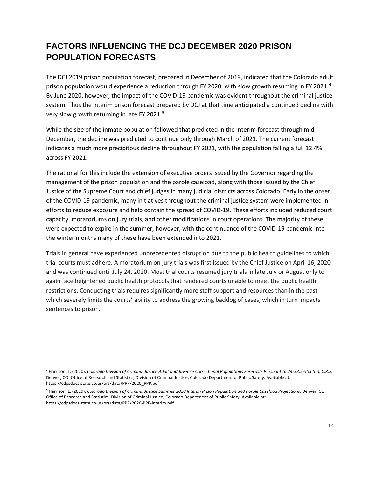### **FACTORS INFLUENCING THE DCJ DECEMBER 2020 PRISON POPULATION FORECASTS**

The DCJ 2019 prison population forecast, prepared in December of 2019, indicated that the Colorado adult prison population would experience a reduction through FY 2020, with slow growth resuming in FY 2021.<sup>[4](#page-17-0)</sup> By June 2020, however, the impact of the COVID-19 pandemic was evident throughout the criminal justice system. Thus the interim prison forecast prepared by DCJ at that time anticipated a continued decline with very slow growth returning in late FY 2021.<sup>[5](#page-17-1)</sup>

While the size of the inmate population followed that predicted in the interim forecast through mid-December, the decline was predicted to continue only through March of 2021. The current forecast indicates a much more precipitous decline throughout FY 2021, with the population falling a full 12.4% across FY 2021.

The rational for this include the extension of executive orders issued by the Governor regarding the management of the prison population and the parole caseload, along with those issued by the Chief Justice of the Supreme Court and chief judges in many judicial districts across Colorado. Early in the onset of the COVID-19 pandemic, many initiatives throughout the criminal justice system were implemented in efforts to reduce exposure and help contain the spread of COVID-19. These efforts included reduced court capacity, moratoriums on jury trials, and other modifications in court operations. The majority of these were expected to expire in the summer, however, with the continuance of the COVID-19 pandemic into the winter months many of these have been extended into 2021.

Trials in general have experienced unprecedented disruption due to the public health guidelines to which trial courts must adhere. A moratorium on jury trials was first issued by the Chief Justice on April 16, 2020 and was continued until July 24, 2020. Most trial courts resumed jury trials in late July or August only to again face heightened public health protocols that rendered courts unable to meet the public health restrictions. Conducting trials requires significantly more staff support and resources than in the past which severely limits the courts' ability to address the growing backlog of cases, which in turn impacts sentences to prison.

 $\overline{\phantom{a}}$ 

<span id="page-17-0"></span><sup>4</sup> Harrison, L. (2020). *Colorado Division of Criminal Justice Adult and Juvenile Correctional Populations Forecasts Pursuant to 24-33.5-503 (m), C.R.S.*. Denver, CO: Office of Research and Statistics, Division of Criminal Justice, Colorado Department of Public Safety. Available at: https://cdpsdocs.state.co.us/ors/data/PPP/2020\_PPP.pdf

<span id="page-17-1"></span><sup>5</sup> Harrison, L. (2019). *Colorado Division of Criminal Justice Summer 2020 Interim Prison Population and Parole Caseload Projections.* Denver, CO: Office of Research and Statistics, Division of Criminal Justice, Colorado Department of Public Safety. Available at: https://cdpsdocs.state.co.us/ors/data/PPP/2020-PPP-interim.pdf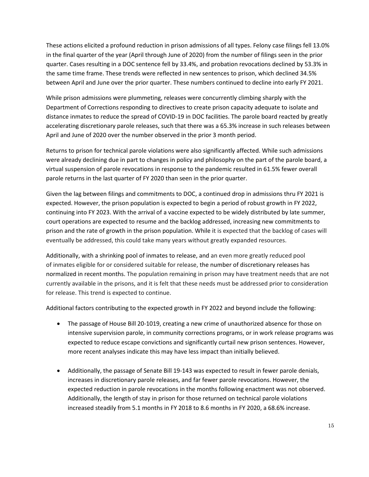These actions elicited a profound reduction in prison admissions of all types. Felony case filings fell 13.0% in the final quarter of the year (April through June of 2020) from the number of filings seen in the prior quarter. Cases resulting in a DOC sentence fell by 33.4%, and probation revocations declined by 53.3% in the same time frame. These trends were reflected in new sentences to prison, which declined 34.5% between April and June over the prior quarter. These numbers continued to decline into early FY 2021.

While prison admissions were plummeting, releases were concurrently climbing sharply with the Department of Corrections responding to directives to create prison capacity adequate to isolate and distance inmates to reduce the spread of COVID-19 in DOC facilities. The parole board reacted by greatly accelerating discretionary parole releases, such that there was a 65.3% increase in such releases between April and June of 2020 over the number observed in the prior 3 month period.

Returns to prison for technical parole violations were also significantly affected. While such admissions were already declining due in part to changes in policy and philosophy on the part of the parole board, a virtual suspension of parole revocations in response to the pandemic resulted in 61.5% fewer overall parole returns in the last quarter of FY 2020 than seen in the prior quarter.

Given the lag between filings and commitments to DOC, a continued drop in admissions thru FY 2021 is expected. However, the prison population is expected to begin a period of robust growth in FY 2022, continuing into FY 2023. With the arrival of a vaccine expected to be widely distributed by late summer, court operations are expected to resume and the backlog addressed, increasing new commitments to prison and the rate of growth in the prison population. While it is expected that the backlog of cases will eventually be addressed, this could take many years without greatly expanded resources.

Additionally, with a shrinking pool of inmates to release, and an even more greatly reduced pool of inmates eligible for or considered suitable for release, the number of discretionary releases has normalized in recent months. The population remaining in prison may have treatment needs that are not currently available in the prisons, and it is felt that these needs must be addressed prior to consideration for release. This trend is expected to continue.

Additional factors contributing to the expected growth in FY 2022 and beyond include the following:

- The passage of House Bill 20-1019, creating a new crime of unauthorized absence for those on intensive supervision parole, in community corrections programs, or in work release programs was expected to reduce escape convictions and significantly curtail new prison sentences. However, more recent analyses indicate this may have less impact than initially believed.
- Additionally, the passage of Senate Bill 19-143 was expected to result in fewer parole denials, increases in discretionary parole releases, and far fewer parole revocations. However, the expected reduction in parole revocations in the months following enactment was not observed. Additionally, the length of stay in prison for those returned on technical parole violations increased steadily from 5.1 months in FY 2018 to 8.6 months in FY 2020, a 68.6% increase.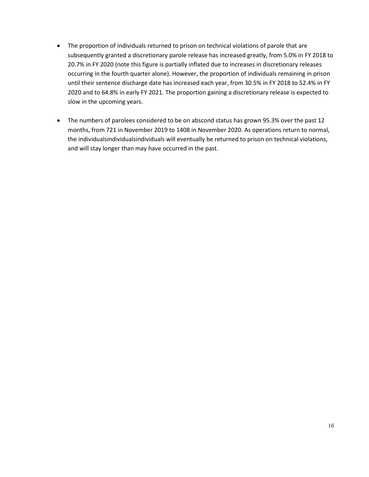- The proportion of individuals returned to prison on technical violations of parole that are subsequently granted a discretionary parole release has increased greatly, from 5.0% in FY 2018 to 20.7% in FY 2020 (note this figure is partially inflated due to increases in discretionary releases occurring in the fourth quarter alone). However, the proportion of individuals remaining in prison until their sentence discharge date has increased each year, from 30.5% in FY 2018 to 52.4% in FY 2020 and to 64.8% in early FY 2021. The proportion gaining a discretionary release is expected to slow in the upcoming years.
- The numbers of parolees considered to be on abscond status has grown 95.3% over the past 12 months, from 721 in November 2019 to 1408 in November 2020. As operations return to normal, the individualsindividualsindividuals will eventually be returned to prison on technical violations, and will stay longer than may have occurred in the past.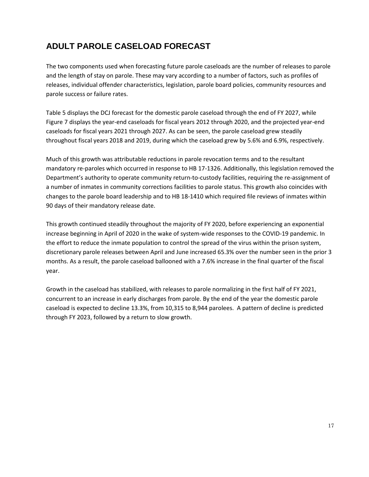### **ADULT PAROLE CASELOAD FORECAST**

The two components used when forecasting future parole caseloads are the number of releases to parole and the length of stay on parole. These may vary according to a number of factors, such as profiles of releases, individual offender characteristics, legislation, parole board policies, community resources and parole success or failure rates.

Table 5 displays the DCJ forecast for the domestic parole caseload through the end of FY 2027, while Figure 7 displays the year-end caseloads for fiscal years 2012 through 2020, and the projected year-end caseloads for fiscal years 2021 through 2027. As can be seen, the parole caseload grew steadily throughout fiscal years 2018 and 2019, during which the caseload grew by 5.6% and 6.9%, respectively.

Much of this growth was attributable reductions in parole revocation terms and to the resultant mandatory re-paroles which occurred in response to HB 17-1326. Additionally, this legislation removed the Department's authority to operate community return-to-custody facilities, requiring the re-assignment of a number of inmates in community corrections facilities to parole status. This growth also coincides with changes to the parole board leadership and to HB 18-1410 which required file reviews of inmates within 90 days of their mandatory release date.

This growth continued steadily throughout the majority of FY 2020, before experiencing an exponential increase beginning in April of 2020 in the wake of system-wide responses to the COVID-19 pandemic. In the effort to reduce the inmate population to control the spread of the virus within the prison system, discretionary parole releases between April and June increased 65.3% over the number seen in the prior 3 months. As a result, the parole caseload ballooned with a 7.6% increase in the final quarter of the fiscal year.

Growth in the caseload has stabilized, with releases to parole normalizing in the first half of FY 2021, concurrent to an increase in early discharges from parole. By the end of the year the domestic parole caseload is expected to decline 13.3%, from 10,315 to 8,944 parolees. A pattern of decline is predicted through FY 2023, followed by a return to slow growth.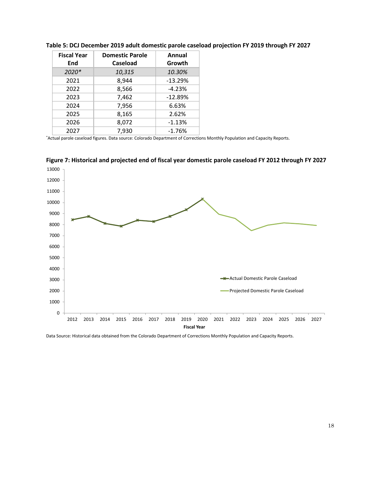| <b>Fiscal Year</b><br>End | <b>Domestic Parole</b><br><b>Caseload</b> | Annual<br>Growth |
|---------------------------|-------------------------------------------|------------------|
|                           |                                           |                  |
| 2020*                     | 10,315                                    | 10.30%           |
| 2021                      | 8,944                                     | $-13.29%$        |
| 2022                      | 8,566                                     | $-4.23%$         |
| 2023                      | 7,462                                     | $-12.89%$        |
| 2024                      | 7,956                                     | 6.63%            |
| 2025                      | 8,165                                     | 2.62%            |
| 2026                      | 8,072                                     | $-1.13%$         |
| 2027                      | 7,930                                     | $-1.76%$         |

#### **Table 5: DCJ December 2019 adult domestic parole caseload projection FY 2019 through FY 2027**

\*Actual parole caseload figures. Data source: Colorado Department of Corrections Monthly Population and Capacity Reports.





Data Source: Historical data obtained from the Colorado Department of Corrections Monthly Population and Capacity Reports.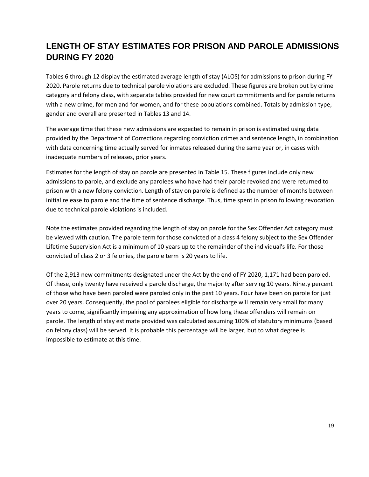### **LENGTH OF STAY ESTIMATES FOR PRISON AND PAROLE ADMISSIONS DURING FY 2020**

Tables 6 through 12 display the estimated average length of stay (ALOS) for admissions to prison during FY 2020. Parole returns due to technical parole violations are excluded. These figures are broken out by crime category and felony class, with separate tables provided for new court commitments and for parole returns with a new crime, for men and for women, and for these populations combined. Totals by admission type, gender and overall are presented in Tables 13 and 14.

The average time that these new admissions are expected to remain in prison is estimated using data provided by the Department of Corrections regarding conviction crimes and sentence length, in combination with data concerning time actually served for inmates released during the same year or, in cases with inadequate numbers of releases, prior years.

Estimates for the length of stay on parole are presented in Table 15. These figures include only new admissions to parole, and exclude any parolees who have had their parole revoked and were returned to prison with a new felony conviction. Length of stay on parole is defined as the number of months between initial release to parole and the time of sentence discharge. Thus, time spent in prison following revocation due to technical parole violations is included.

Note the estimates provided regarding the length of stay on parole for the Sex Offender Act category must be viewed with caution. The parole term for those convicted of a class 4 felony subject to the Sex Offender Lifetime Supervision Act is a minimum of 10 years up to the remainder of the individual's life. For those convicted of class 2 or 3 felonies, the parole term is 20 years to life.

Of the 2,913 new commitments designated under the Act by the end of FY 2020, 1,171 had been paroled. Of these, only twenty have received a parole discharge, the majority after serving 10 years. Ninety percent of those who have been paroled were paroled only in the past 10 years. Four have been on parole for just over 20 years. Consequently, the pool of parolees eligible for discharge will remain very small for many years to come, significantly impairing any approximation of how long these offenders will remain on parole. The length of stay estimate provided was calculated assuming 100% of statutory minimums (based on felony class) will be served. It is probable this percentage will be larger, but to what degree is impossible to estimate at this time.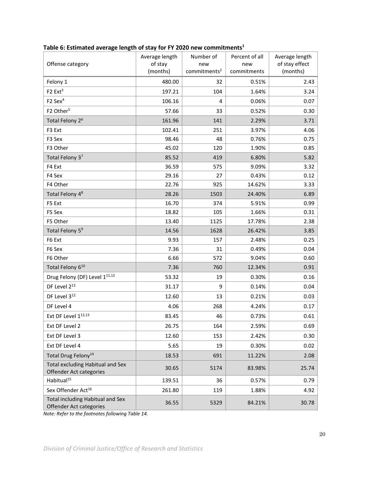| Offense category                                                   | Average length<br>of stay<br>(months) | Number of<br>new<br>commitments <sup>2</sup> | Percent of all<br>new<br>commitments | Average length<br>of stay effect<br>(months) |
|--------------------------------------------------------------------|---------------------------------------|----------------------------------------------|--------------------------------------|----------------------------------------------|
| Felony 1                                                           | 480.00                                | 32                                           | 0.51%                                | 2.43                                         |
| $F2$ Ext <sup>3</sup>                                              | 197.21                                | 104                                          | 1.64%                                | 3.24                                         |
| F <sub>2</sub> Sex <sup>4</sup>                                    | 106.16                                | 4                                            | 0.06%                                | 0.07                                         |
| F <sub>2</sub> Other <sup>5</sup>                                  | 57.66                                 | 33                                           | 0.52%                                | 0.30                                         |
| Total Felony 2 <sup>6</sup>                                        | 161.96                                | 141                                          | 2.29%                                | 3.71                                         |
| F3 Ext                                                             | 102.41                                | 251                                          | 3.97%                                | 4.06                                         |
| F3 Sex                                                             | 98.46                                 | 48                                           | 0.76%                                | 0.75                                         |
| F3 Other                                                           | 45.02                                 | 120                                          | 1.90%                                | 0.85                                         |
| Total Felony 37                                                    | 85.52                                 | 419                                          | 6.80%                                | 5.82                                         |
| F4 Ext                                                             | 36.59                                 | 575                                          | 9.09%                                | 3.32                                         |
| F4 Sex                                                             | 29.16                                 | 27                                           | 0.43%                                | 0.12                                         |
| F4 Other                                                           | 22.76                                 | 925                                          | 14.62%                               | 3.33                                         |
| Total Felony 48                                                    | 28.26                                 | 1503                                         | 24.40%                               | 6.89                                         |
| F5 Ext                                                             | 16.70                                 | 374                                          | 5.91%                                | 0.99                                         |
| F5 Sex                                                             | 18.82                                 | 105                                          | 1.66%                                | 0.31                                         |
| F5 Other                                                           | 13.40                                 | 1125                                         | 17.78%                               | 2.38                                         |
| Total Felony 5 <sup>9</sup>                                        | 14.56                                 | 1628                                         | 26.42%                               | 3.85                                         |
| F6 Ext                                                             | 9.93                                  | 157                                          | 2.48%                                | 0.25                                         |
| F6 Sex                                                             | 7.36                                  | 31                                           | 0.49%                                | 0.04                                         |
| F6 Other                                                           | 6.66                                  | 572                                          | 9.04%                                | 0.60                                         |
| Total Felony 6 <sup>10</sup>                                       | 7.36                                  | 760                                          | 12.34%                               | 0.91                                         |
| Drug Felony (DF) Level 111,12                                      | 53.32                                 | 19                                           | 0.30%                                | 0.16                                         |
| DF Level 2 <sup>12</sup>                                           | 31.17                                 | 9                                            | 0.14%                                | 0.04                                         |
| DF Level 312                                                       | 12.60                                 | 13                                           | 0.21%                                | 0.03                                         |
| DF Level 4                                                         | 4.06                                  | 268                                          | 4.24%                                | 0.17                                         |
| Ext DF Level 1 <sup>12,13</sup>                                    | 83.45                                 | 46                                           | 0.73%                                | 0.61                                         |
| Ext DF Level 2                                                     | 26.75                                 | 164                                          | 2.59%                                | 0.69                                         |
| Ext DF Level 3                                                     | 12.60                                 | 153                                          | 2.42%                                | 0.30                                         |
| Ext DF Level 4                                                     | 5.65                                  | 19                                           | 0.30%                                | 0.02                                         |
| Total Drug Felony <sup>14</sup>                                    | 18.53                                 | 691                                          | 11.22%                               | 2.08                                         |
| <b>Total excluding Habitual and Sex</b><br>Offender Act categories | 30.65                                 | 5174                                         | 83.98%                               | 25.74                                        |
| Habitual <sup>15</sup>                                             | 139.51                                | 36                                           | 0.57%                                | 0.79                                         |
| Sex Offender Act <sup>16</sup>                                     | 261.80                                | 119                                          | 1.88%                                | 4.92                                         |
| Total including Habitual and Sex<br>Offender Act categories        | 36.55                                 | 5329                                         | 84.21%                               | 30.78                                        |

**Table 6: Estimated average length of stay for FY 2020 new commitments1**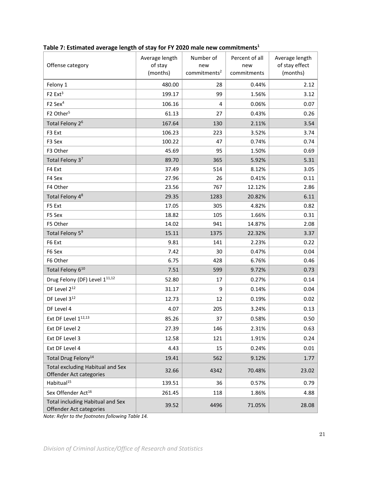| Offense category                                            | Average length<br>of stay<br>(months) | Number of<br>new<br>commitments <sup>2</sup> | Percent of all<br>new<br>commitments | Average length<br>of stay effect<br>(months) |
|-------------------------------------------------------------|---------------------------------------|----------------------------------------------|--------------------------------------|----------------------------------------------|
| Felony 1                                                    | 480.00                                | 28                                           | 0.44%                                | 2.12                                         |
| $F2$ Ext <sup>3</sup>                                       | 199.17                                | 99                                           | 1.56%                                | 3.12                                         |
| F <sub>2</sub> Sex <sup>4</sup>                             | 106.16                                | $\overline{4}$                               | 0.06%                                | 0.07                                         |
| F2 Other <sup>5</sup>                                       | 61.13                                 | 27                                           | 0.43%                                | 0.26                                         |
| Total Felony 2 <sup>6</sup>                                 | 167.64                                | 130                                          | 2.11%                                | 3.54                                         |
| F3 Ext                                                      | 106.23                                | 223                                          | 3.52%                                | 3.74                                         |
| F3 Sex                                                      | 100.22                                | 47                                           | 0.74%                                | 0.74                                         |
| F3 Other                                                    | 45.69                                 | 95                                           | 1.50%                                | 0.69                                         |
| Total Felony 37                                             | 89.70                                 | 365                                          | 5.92%                                | 5.31                                         |
| F4 Ext                                                      | 37.49                                 | 514                                          | 8.12%                                | 3.05                                         |
| F4 Sex                                                      | 27.96                                 | 26                                           | 0.41%                                | 0.11                                         |
| F4 Other                                                    | 23.56                                 | 767                                          | 12.12%                               | 2.86                                         |
| Total Felony 48                                             | 29.35                                 | 1283                                         | 20.82%                               | 6.11                                         |
| F5 Ext                                                      | 17.05                                 | 305                                          | 4.82%                                | 0.82                                         |
| F5 Sex                                                      | 18.82                                 | 105                                          | 1.66%                                | 0.31                                         |
| F5 Other                                                    | 14.02                                 | 941                                          | 14.87%                               | 2.08                                         |
| Total Felony 5 <sup>9</sup>                                 | 15.11                                 | 1375                                         | 22.32%                               | 3.37                                         |
| F6 Ext                                                      | 9.81                                  | 141                                          | 2.23%                                | 0.22                                         |
| F6 Sex                                                      | 7.42                                  | 30                                           | 0.47%                                | 0.04                                         |
| F6 Other                                                    | 6.75                                  | 428                                          | 6.76%                                | 0.46                                         |
| Total Felony 6 <sup>10</sup>                                | 7.51                                  | 599                                          | 9.72%                                | 0.73                                         |
| Drug Felony (DF) Level 111,12                               | 52.80                                 | 17                                           | 0.27%                                | 0.14                                         |
| DF Level 2 <sup>12</sup>                                    | 31.17                                 | 9                                            | 0.14%                                | 0.04                                         |
| DF Level 312                                                | 12.73                                 | 12                                           | 0.19%                                | 0.02                                         |
| DF Level 4                                                  | 4.07                                  | 205                                          | 3.24%                                | 0.13                                         |
| Ext DF Level 1 <sup>12,13</sup>                             | 85.26                                 | 37                                           | 0.58%                                | 0.50                                         |
| Ext DF Level 2                                              | 27.39                                 | 146                                          | 2.31%                                | 0.63                                         |
| Ext DF Level 3                                              | 12.58                                 | 121                                          | 1.91%                                | 0.24                                         |
| Ext DF Level 4                                              | 4.43                                  | 15                                           | 0.24%                                | 0.01                                         |
| Total Drug Felony <sup>14</sup>                             | 19.41                                 | 562                                          | 9.12%                                | 1.77                                         |
| Total excluding Habitual and Sex<br>Offender Act categories | 32.66                                 | 4342                                         | 70.48%                               | 23.02                                        |
| Habitual <sup>15</sup>                                      | 139.51                                | 36                                           | 0.57%                                | 0.79                                         |
| Sex Offender Act <sup>16</sup>                              | 261.45                                | 118                                          | 1.86%                                | 4.88                                         |
| Total including Habitual and Sex<br>Offender Act categories | 39.52                                 | 4496                                         | 71.05%                               | 28.08                                        |

**Table 7: Estimated average length of stay for FY 2020 male new commitments1**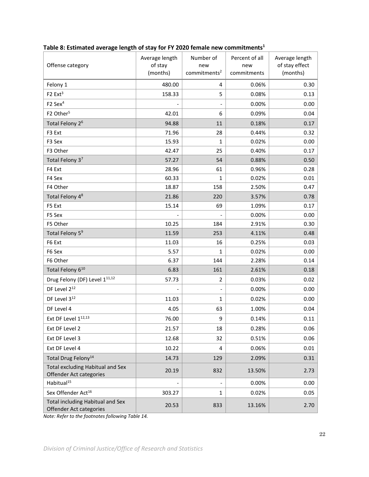| Offense category                                                   | Average length<br>of stay<br>(months) | Number of<br>new<br>commitments <sup>2</sup> | Percent of all<br>new<br>commitments | Average length<br>of stay effect<br>(months) |
|--------------------------------------------------------------------|---------------------------------------|----------------------------------------------|--------------------------------------|----------------------------------------------|
| Felony 1                                                           | 480.00                                | 4                                            | 0.06%                                | 0.30                                         |
| $F2$ Ext <sup>3</sup>                                              | 158.33                                | 5                                            | 0.08%                                | 0.13                                         |
| F <sub>2</sub> Sex <sup>4</sup>                                    |                                       |                                              | 0.00%                                | 0.00                                         |
| F <sub>2</sub> Other <sup>5</sup>                                  | 42.01                                 | 6                                            | 0.09%                                | 0.04                                         |
| Total Felony 2 <sup>6</sup>                                        | 94.88                                 | 11                                           | 0.18%                                | 0.17                                         |
| F3 Ext                                                             | 71.96                                 | 28                                           | 0.44%                                | 0.32                                         |
| F3 Sex                                                             | 15.93                                 | 1                                            | 0.02%                                | 0.00                                         |
| F3 Other                                                           | 42.47                                 | 25                                           | 0.40%                                | 0.17                                         |
| Total Felony 37                                                    | 57.27                                 | 54                                           | 0.88%                                | 0.50                                         |
| F4 Ext                                                             | 28.96                                 | 61                                           | 0.96%                                | 0.28                                         |
| F4 Sex                                                             | 60.33                                 | 1                                            | 0.02%                                | 0.01                                         |
| F4 Other                                                           | 18.87                                 | 158                                          | 2.50%                                | 0.47                                         |
| Total Felony 48                                                    | 21.86                                 | 220                                          | 3.57%                                | 0.78                                         |
| F5 Ext                                                             | 15.14                                 | 69                                           | 1.09%                                | 0.17                                         |
| F5 Sex                                                             |                                       |                                              | 0.00%                                | 0.00                                         |
| F5 Other                                                           | 10.25                                 | 184                                          | 2.91%                                | 0.30                                         |
| Total Felony 5 <sup>9</sup>                                        | 11.59                                 | 253                                          | 4.11%                                | 0.48                                         |
| F6 Ext                                                             | 11.03                                 | 16                                           | 0.25%                                | 0.03                                         |
| F6 Sex                                                             | 5.57                                  | 1                                            | 0.02%                                | 0.00                                         |
| F6 Other                                                           | 6.37                                  | 144                                          | 2.28%                                | 0.14                                         |
| Total Felony 6 <sup>10</sup>                                       | 6.83                                  | 161                                          | 2.61%                                | 0.18                                         |
| Drug Felony (DF) Level 111,12                                      | 57.73                                 | $\overline{2}$                               | 0.03%                                | 0.02                                         |
| DF Level 2 <sup>12</sup>                                           |                                       | $\qquad \qquad \blacksquare$                 | 0.00%                                | 0.00                                         |
| DF Level 312                                                       | 11.03                                 | 1                                            | 0.02%                                | 0.00                                         |
| DF Level 4                                                         | 4.05                                  | 63                                           | 1.00%                                | 0.04                                         |
| Ext DF Level 1 <sup>12,13</sup>                                    | 76.00                                 | 9                                            | 0.14%                                | 0.11                                         |
| Ext DF Level 2                                                     | 21.57                                 | 18                                           | 0.28%                                | 0.06                                         |
| Ext DF Level 3                                                     | 12.68                                 | 32                                           | 0.51%                                | 0.06                                         |
| Ext DF Level 4                                                     | 10.22                                 | 4                                            | 0.06%                                | 0.01                                         |
| Total Drug Felony <sup>14</sup>                                    | 14.73                                 | 129                                          | 2.09%                                | 0.31                                         |
| <b>Total excluding Habitual and Sex</b><br>Offender Act categories | 20.19                                 | 832                                          | 13.50%                               | 2.73                                         |
| Habitual <sup>15</sup>                                             |                                       | $\overline{a}$                               | 0.00%                                | 0.00                                         |
| Sex Offender Act <sup>16</sup>                                     | 303.27                                | 1                                            | 0.02%                                | 0.05                                         |
| Total including Habitual and Sex<br>Offender Act categories        | 20.53                                 | 833                                          | 13.16%                               | 2.70                                         |

**Table 8: Estimated average length of stay for FY 2020 female new commitments1**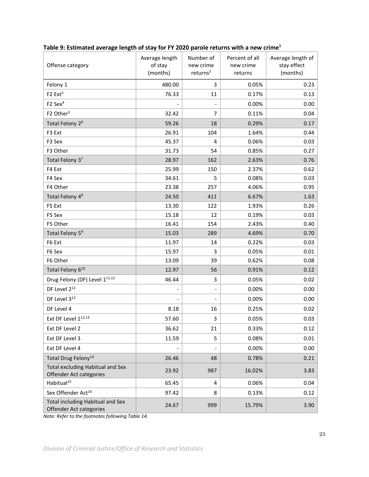|                                                                    | Average length      | Number of                         | Percent of all       | Average length of       |
|--------------------------------------------------------------------|---------------------|-----------------------------------|----------------------|-------------------------|
| Offense category                                                   | of stay<br>(months) | new crime<br>returns <sup>2</sup> | new crime<br>returns | stay effect<br>(months) |
|                                                                    |                     |                                   |                      |                         |
| Felony 1                                                           | 480.00              | 3                                 | 0.05%                | 0.23                    |
| F <sub>2</sub> Ext <sup>3</sup>                                    | 76.33               | 11                                | 0.17%                | 0.13                    |
| F <sub>2</sub> Sex <sup>4</sup>                                    |                     |                                   | 0.00%                | 0.00                    |
| F <sub>2</sub> Other <sup>5</sup>                                  | 32.42               | 7                                 | 0.11%                | 0.04                    |
| Total Felony 2 <sup>6</sup>                                        | 59.26               | 18                                | 0.29%                | 0.17                    |
| F3 Ext                                                             | 26.91               | 104                               | 1.64%                | 0.44                    |
| F3 Sex                                                             | 45.37               | 4                                 | 0.06%                | 0.03                    |
| F3 Other                                                           | 31.73               | 54                                | 0.85%                | 0.27                    |
| Total Felony 37                                                    | 28.97               | 162                               | 2.63%                | 0.76                    |
| F4 Ext                                                             | 25.99               | 150                               | 2.37%                | 0.62                    |
| F4 Sex                                                             | 34.61               | 5                                 | 0.08%                | 0.03                    |
| F4 Other                                                           | 23.38               | 257                               | 4.06%                | 0.95                    |
| Total Felony 48                                                    | 24.50               | 411                               | 6.67%                | 1.63                    |
| F5 Ext                                                             | 13.30               | 122                               | 1.93%                | 0.26                    |
| F5 Sex                                                             | 15.18               | 12                                | 0.19%                | 0.03                    |
| F5 Other                                                           | 16.41               | 154                               | 2.43%                | 0.40                    |
| Total Felony 5 <sup>9</sup>                                        | 15.03               | 289                               | 4.69%                | 0.70                    |
| F6 Ext                                                             | 11.97               | 14                                | 0.22%                | 0.03                    |
| F6 Sex                                                             | 15.97               | 3                                 | 0.05%                | 0.01                    |
| F6 Other                                                           | 13.09               | 39                                | 0.62%                | 0.08                    |
| Total Felony 6 <sup>10</sup>                                       | 12.97               | 56                                | 0.91%                | 0.12                    |
| Drug Felony (DF) Level 111,12                                      | 46.44               | 3                                 | 0.05%                | 0.02                    |
| DF Level 2 <sup>12</sup>                                           |                     | $\qquad \qquad \blacksquare$      | 0.00%                | 0.00                    |
| DF Level 312                                                       |                     |                                   | 0.00%                | 0.00                    |
| DF Level 4                                                         | 8.18                | 16                                | 0.25%                | 0.02                    |
| Ext DF Level $1^{12,13}$                                           | 57.60               | 3                                 | 0.05%                | 0.03                    |
| Ext DF Level 2                                                     | 36.62               | 21                                | 0.33%                | 0.12                    |
| Ext DF Level 3                                                     | 11.59               | 5                                 | 0.08%                | 0.01                    |
| Ext DF Level 4                                                     |                     |                                   | 0.00%                | 0.00                    |
| Total Drug Felony <sup>14</sup>                                    | 26.46               | 48                                | 0.78%                | 0.21                    |
| <b>Total excluding Habitual and Sex</b>                            | 23.92               | 987                               | 16.02%               | 3.83                    |
| Offender Act categories                                            |                     |                                   |                      |                         |
| Habitual <sup>15</sup>                                             | 65.45               | 4                                 | 0.06%                | 0.04                    |
| Sex Offender Act <sup>16</sup>                                     | 97.42               | 8                                 | 0.13%                | 0.12                    |
| <b>Total including Habitual and Sex</b><br>Offender Act categories | 24.67               | 999                               | 15.79%               | 3.90                    |

| Table 9: Estimated average length of stay for FY 2020 parole returns with a new crime <sup>1</sup> |  |  |  |
|----------------------------------------------------------------------------------------------------|--|--|--|
|----------------------------------------------------------------------------------------------------|--|--|--|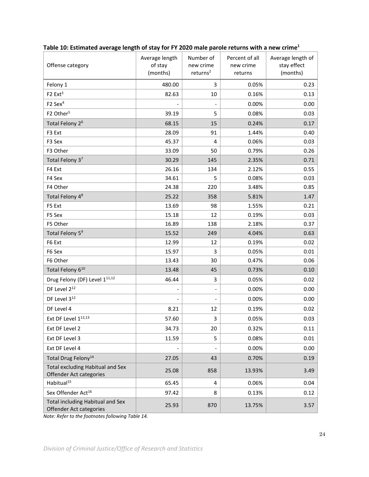| Offense category                                                   | Average length<br>of stay<br>(months) | Number of<br>new crime<br>returns <sup>2</sup> | Percent of all<br>new crime<br>returns | Average length of<br>stay effect<br>(months) |
|--------------------------------------------------------------------|---------------------------------------|------------------------------------------------|----------------------------------------|----------------------------------------------|
| Felony 1                                                           | 480.00                                | 3                                              | 0.05%                                  | 0.23                                         |
| F <sub>2</sub> Ext <sup>3</sup>                                    | 82.63                                 | 10                                             | 0.16%                                  | 0.13                                         |
| F <sub>2</sub> Sex <sup>4</sup>                                    |                                       |                                                | 0.00%                                  | 0.00                                         |
| F <sub>2</sub> Other <sup>5</sup>                                  | 39.19                                 | 5                                              | 0.08%                                  | 0.03                                         |
| Total Felony 2 <sup>6</sup>                                        | 68.15                                 | 15                                             | 0.24%                                  | 0.17                                         |
| F3 Ext                                                             | 28.09                                 | 91                                             | 1.44%                                  | 0.40                                         |
| F3 Sex                                                             | 45.37                                 | 4                                              | 0.06%                                  | 0.03                                         |
| F3 Other                                                           | 33.09                                 | 50                                             | 0.79%                                  | 0.26                                         |
| Total Felony 37                                                    | 30.29                                 | 145                                            | 2.35%                                  | 0.71                                         |
| F4 Ext                                                             | 26.16                                 | 134                                            | 2.12%                                  | 0.55                                         |
| F4 Sex                                                             | 34.61                                 | 5                                              | 0.08%                                  | 0.03                                         |
| F4 Other                                                           | 24.38                                 | 220                                            | 3.48%                                  | 0.85                                         |
| Total Felony 48                                                    | 25.22                                 | 358                                            | 5.81%                                  | 1.47                                         |
| F5 Ext                                                             | 13.69                                 | 98                                             | 1.55%                                  | 0.21                                         |
| F5 Sex                                                             | 15.18                                 | 12                                             | 0.19%                                  | 0.03                                         |
| F5 Other                                                           | 16.89                                 | 138                                            | 2.18%                                  | 0.37                                         |
| Total Felony 5 <sup>9</sup>                                        | 15.52                                 | 249                                            | 4.04%                                  | 0.63                                         |
| F6 Ext                                                             | 12.99                                 | 12                                             | 0.19%                                  | 0.02                                         |
| F6 Sex                                                             | 15.97                                 | 3                                              | 0.05%                                  | 0.01                                         |
| F6 Other                                                           | 13.43                                 | 30                                             | 0.47%                                  | 0.06                                         |
| Total Felony 6 <sup>10</sup>                                       | 13.48                                 | 45                                             | 0.73%                                  | 0.10                                         |
| Drug Felony (DF) Level 111,12                                      | 46.44                                 | 3                                              | 0.05%                                  | 0.02                                         |
| DF Level 2 <sup>12</sup>                                           |                                       | $\qquad \qquad \blacksquare$                   | 0.00%                                  | 0.00                                         |
| DF Level 312                                                       |                                       |                                                | 0.00%                                  | 0.00                                         |
| DF Level 4                                                         | 8.21                                  | 12                                             | 0.19%                                  | 0.02                                         |
| Ext DF Level 1 <sup>12,13</sup>                                    | 57.60                                 | 3                                              | 0.05%                                  | 0.03                                         |
| Ext DF Level 2                                                     | 34.73                                 | 20                                             | 0.32%                                  | 0.11                                         |
| Ext DF Level 3                                                     | 11.59                                 | 5                                              | 0.08%                                  | 0.01                                         |
| Ext DF Level 4                                                     |                                       |                                                | 0.00%                                  | 0.00                                         |
| Total Drug Felony <sup>14</sup>                                    | 27.05                                 | 43                                             | 0.70%                                  | 0.19                                         |
| <b>Total excluding Habitual and Sex</b><br>Offender Act categories | 25.08                                 | 858                                            | 13.93%                                 | 3.49                                         |
| Habitual <sup>15</sup>                                             | 65.45                                 | 4                                              | 0.06%                                  | 0.04                                         |
| Sex Offender Act <sup>16</sup>                                     | 97.42                                 | 8                                              | 0.13%                                  | 0.12                                         |
| <b>Total including Habitual and Sex</b><br>Offender Act categories | 25.93                                 | 870                                            | 13.75%                                 | 3.57                                         |

**Table 10: Estimated average length of stay for FY 2020 male parole returns with a new crime1**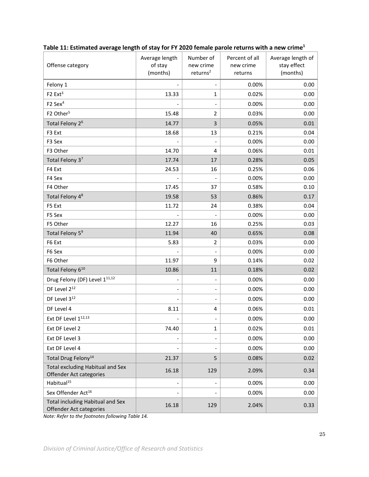| Offense category                                                   | Average length<br>of stay<br>(months) | Number of<br>new crime<br>returns <sup>2</sup> | Percent of all<br>new crime<br>returns | Average length of<br>stay effect<br>(months) |
|--------------------------------------------------------------------|---------------------------------------|------------------------------------------------|----------------------------------------|----------------------------------------------|
| Felony 1                                                           |                                       |                                                | 0.00%                                  | 0.00                                         |
| $F2$ Ext <sup>3</sup>                                              | 13.33                                 | 1                                              | 0.02%                                  | 0.00                                         |
| F <sub>2</sub> Sex <sup>4</sup>                                    |                                       |                                                | 0.00%                                  | 0.00                                         |
| F2 Other <sup>5</sup>                                              | 15.48                                 | $\overline{2}$                                 | 0.03%                                  | 0.00                                         |
| Total Felony 2 <sup>6</sup>                                        | 14.77                                 | 3                                              | 0.05%                                  | 0.01                                         |
| F3 Ext                                                             | 18.68                                 | 13                                             | 0.21%                                  | 0.04                                         |
| F3 Sex                                                             |                                       |                                                | 0.00%                                  | 0.00                                         |
| F3 Other                                                           | 14.70                                 | $\overline{4}$                                 | 0.06%                                  | 0.01                                         |
| Total Felony 37                                                    | 17.74                                 | 17                                             | 0.28%                                  | 0.05                                         |
| F4 Ext                                                             | 24.53                                 | 16                                             | 0.25%                                  | 0.06                                         |
| F4 Sex                                                             |                                       |                                                | 0.00%                                  | 0.00                                         |
| F4 Other                                                           | 17.45                                 | 37                                             | 0.58%                                  | 0.10                                         |
| Total Felony 48                                                    | 19.58                                 | 53                                             | 0.86%                                  | 0.17                                         |
| F5 Ext                                                             | 11.72                                 | 24                                             | 0.38%                                  | 0.04                                         |
| F5 Sex                                                             |                                       |                                                | 0.00%                                  | 0.00                                         |
| F5 Other                                                           | 12.27                                 | 16                                             | 0.25%                                  | 0.03                                         |
| Total Felony 5 <sup>9</sup>                                        | 11.94                                 | 40                                             | 0.65%                                  | 0.08                                         |
| F6 Ext                                                             | 5.83                                  | $\overline{2}$                                 | 0.03%                                  | 0.00                                         |
| F6 Sex                                                             |                                       |                                                | 0.00%                                  | 0.00                                         |
| F6 Other                                                           | 11.97                                 | 9                                              | 0.14%                                  | 0.02                                         |
| Total Felony 6 <sup>10</sup>                                       | 10.86                                 | 11                                             | 0.18%                                  | 0.02                                         |
| Drug Felony (DF) Level 111,12                                      |                                       | $\overline{\phantom{0}}$                       | 0.00%                                  | 0.00                                         |
| DF Level 2 <sup>12</sup>                                           |                                       | $\qquad \qquad -$                              | 0.00%                                  | 0.00                                         |
| DF Level 312                                                       |                                       |                                                | 0.00%                                  | 0.00                                         |
| DF Level 4                                                         | 8.11                                  | 4                                              | 0.06%                                  | 0.01                                         |
| Ext DF Level $1^{12,13}$                                           | $\overline{\phantom{a}}$              | $\overline{\phantom{0}}$                       | 0.00%                                  | 0.00                                         |
| Ext DF Level 2                                                     | 74.40                                 | 1                                              | 0.02%                                  | 0.01                                         |
| Ext DF Level 3                                                     | $\overline{a}$                        | -                                              | 0.00%                                  | 0.00                                         |
| Ext DF Level 4                                                     |                                       |                                                | 0.00%                                  | 0.00                                         |
| Total Drug Felony <sup>14</sup>                                    | 21.37                                 | 5                                              | 0.08%                                  | 0.02                                         |
| <b>Total excluding Habitual and Sex</b><br>Offender Act categories | 16.18                                 | 129                                            | 2.09%                                  | 0.34                                         |
| Habitual <sup>15</sup>                                             | ٠                                     | $\overline{\phantom{0}}$                       | 0.00%                                  | 0.00                                         |
| Sex Offender Act <sup>16</sup>                                     |                                       |                                                | 0.00%                                  | 0.00                                         |
| <b>Total including Habitual and Sex</b><br>Offender Act categories | 16.18                                 | 129                                            | 2.04%                                  | 0.33                                         |

|  |  |  |  | Table 11: Estimated average length of stay for FY 2020 female parole returns with a new crime <sup>1</sup> |
|--|--|--|--|------------------------------------------------------------------------------------------------------------|
|--|--|--|--|------------------------------------------------------------------------------------------------------------|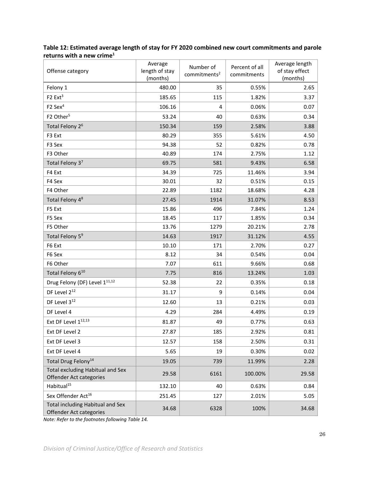| Offense category                                                   | Average<br>length of stay<br>(months) | Number of<br>commitments <sup>2</sup> | Percent of all<br>commitments | Average length<br>of stay effect<br>(months) |
|--------------------------------------------------------------------|---------------------------------------|---------------------------------------|-------------------------------|----------------------------------------------|
| Felony 1                                                           | 480.00                                | 35                                    | 0.55%                         | 2.65                                         |
| $F2$ Ext <sup>3</sup>                                              | 185.65                                | 115                                   | 1.82%                         | 3.37                                         |
| F <sub>2</sub> Sex <sup>4</sup>                                    | 106.16                                | 4                                     | 0.06%                         | 0.07                                         |
| F2 Other <sup>5</sup>                                              | 53.24                                 | 40                                    | 0.63%                         | 0.34                                         |
| Total Felony 2 <sup>6</sup>                                        | 150.34                                | 159                                   | 2.58%                         | 3.88                                         |
| F3 Ext                                                             | 80.29                                 | 355                                   | 5.61%                         | 4.50                                         |
| F3 Sex                                                             | 94.38                                 | 52                                    | 0.82%                         | 0.78                                         |
| F3 Other                                                           | 40.89                                 | 174                                   | 2.75%                         | 1.12                                         |
| Total Felony 37                                                    | 69.75                                 | 581                                   | 9.43%                         | 6.58                                         |
| F4 Ext                                                             | 34.39                                 | 725                                   | 11.46%                        | 3.94                                         |
| F4 Sex                                                             | 30.01                                 | 32                                    | 0.51%                         | 0.15                                         |
| F4 Other                                                           | 22.89                                 | 1182                                  | 18.68%                        | 4.28                                         |
| Total Felony 48                                                    | 27.45                                 | 1914                                  | 31.07%                        | 8.53                                         |
| F5 Ext                                                             | 15.86                                 | 496                                   | 7.84%                         | 1.24                                         |
| F5 Sex                                                             | 18.45                                 | 117                                   | 1.85%                         | 0.34                                         |
| F5 Other                                                           | 13.76                                 | 1279                                  | 20.21%                        | 2.78                                         |
| Total Felony 5 <sup>9</sup>                                        | 14.63                                 | 1917                                  | 31.12%                        | 4.55                                         |
| F6 Ext                                                             | 10.10                                 | 171                                   | 2.70%                         | 0.27                                         |
| F6 Sex                                                             | 8.12                                  | 34                                    | 0.54%                         | 0.04                                         |
| F6 Other                                                           | 7.07                                  | 611                                   | 9.66%                         | 0.68                                         |
| Total Felony 6 <sup>10</sup>                                       | 7.75                                  | 816                                   | 13.24%                        | 1.03                                         |
| Drug Felony (DF) Level 111,12                                      | 52.38                                 | 22                                    | 0.35%                         | 0.18                                         |
| DF Level 2 <sup>12</sup>                                           | 31.17                                 | 9                                     | 0.14%                         | 0.04                                         |
| DF Level 3 <sup>12</sup>                                           | 12.60                                 | 13                                    | 0.21%                         | 0.03                                         |
| DF Level 4                                                         | 4.29                                  | 284                                   | 4.49%                         | 0.19                                         |
| Ext DF Level 1 <sup>12,13</sup>                                    | 81.87                                 | 49                                    | 0.77%                         | 0.63                                         |
| Ext DF Level 2                                                     | 27.87                                 | 185                                   | 2.92%                         | 0.81                                         |
| Ext DF Level 3                                                     | 12.57                                 | 158                                   | 2.50%                         | 0.31                                         |
| Ext DF Level 4                                                     | 5.65                                  | 19                                    | 0.30%                         | 0.02                                         |
| Total Drug Felony <sup>14</sup>                                    | 19.05                                 | 739                                   | 11.99%                        | 2.28                                         |
| <b>Total excluding Habitual and Sex</b><br>Offender Act categories | 29.58                                 | 6161                                  | 100.00%                       | 29.58                                        |
| Habitual <sup>15</sup>                                             | 132.10                                | 40                                    | 0.63%                         | 0.84                                         |
| Sex Offender Act <sup>16</sup>                                     | 251.45                                | 127                                   | 2.01%                         | 5.05                                         |
| <b>Total including Habitual and Sex</b><br>Offender Act categories | 34.68                                 | 6328                                  | 100%                          | 34.68                                        |

**Table 12: Estimated average length of stay for FY 2020 combined new court commitments and parole returns with a new crime1**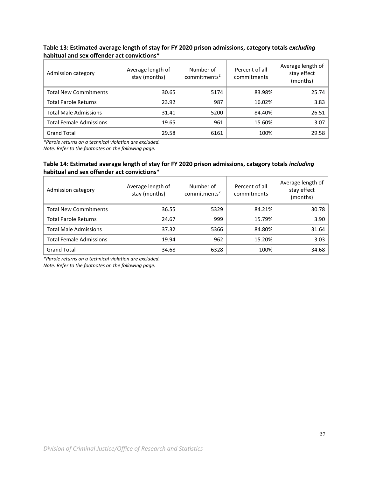### **Table 13: Estimated average length of stay for FY 2020 prison admissions, category totals** *excluding* **habitual and sex offender act convictions\***

| Admission category             | Average length of<br>stay (months) | Number of<br>commitments <sup>2</sup> | Percent of all<br>commitments | Average length of<br>stay effect<br>(months) |
|--------------------------------|------------------------------------|---------------------------------------|-------------------------------|----------------------------------------------|
| <b>Total New Commitments</b>   | 30.65                              | 5174                                  | 83.98%                        | 25.74                                        |
| <b>Total Parole Returns</b>    | 23.92                              | 987                                   | 16.02%                        | 3.83                                         |
| <b>Total Male Admissions</b>   | 31.41                              | 5200                                  | 84.40%                        | 26.51                                        |
| <b>Total Female Admissions</b> | 19.65                              | 961                                   | 15.60%                        | 3.07                                         |
| <b>Grand Total</b>             | 29.58                              | 6161                                  | 100%                          | 29.58                                        |

*\*Parole returns on a technical violation are excluded.*

*Note: Refer to the footnotes on the following page.* 

### **Table 14: Estimated average length of stay for FY 2020 prison admissions, category totals** *including* **habitual and sex offender act convictions\***

| Admission category             | Average length of<br>stay (months) | Number of<br>committments <sup>2</sup> | Percent of all<br>commitments | Average length of<br>stay effect<br>(months) |
|--------------------------------|------------------------------------|----------------------------------------|-------------------------------|----------------------------------------------|
| <b>Total New Commitments</b>   | 36.55                              | 5329                                   | 84.21%                        | 30.78                                        |
| <b>Total Parole Returns</b>    | 24.67                              | 999                                    | 15.79%                        | 3.90                                         |
| <b>Total Male Admissions</b>   | 37.32                              | 5366                                   | 84.80%                        | 31.64                                        |
| <b>Total Female Admissions</b> | 19.94                              | 962                                    | 15.20%                        | 3.03                                         |
| <b>Grand Total</b>             | 34.68                              | 6328                                   | 100%                          | 34.68                                        |

*\*Parole returns on a technical violation are excluded.*

*Note: Refer to the footnotes on the following page.*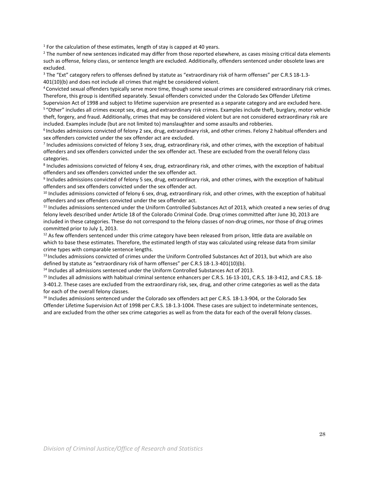$1$  For the calculation of these estimates, length of stay is capped at 40 years.

 $<sup>2</sup>$  The number of new sentences indicated may differ from those reported elsewhere, as cases missing critical data elements</sup> such as offense, felony class, or sentence length are excluded. Additionally, offenders sentenced under obsolete laws are excluded.

<sup>3</sup> The "Ext" category refers to offenses defined by statute as "extraordinary risk of harm offenses" per C.R.S 18-1.3-

401(10)(b) and does not include all crimes that might be considered violent.<br><sup>4</sup> Convicted sexual offenders typically serve more time, though some sexual crimes are considered extraordinary risk crimes. Therefore, this group is identified separately. Sexual offenders convicted under the Colorado Sex Offender Lifetime

Supervision Act of 1998 and subject to lifetime supervision are presented as a separate category and are excluded here.<br><sup>5</sup> "Other" includes all crimes except sex, drug, and extraordinary risk crimes. Examples include thef theft, forgery, and fraud. Additionally, crimes that may be considered violent but are not considered extraordinary risk are included. Examples include (but are not limited to) manslaughter and some assaults and robberies.

6 Includes admissions convicted of felony 2 sex, drug, extraordinary risk, and other crimes. Felony 2 habitual offenders and sex offenders convicted under the sex offender act are excluded.

<sup>7</sup> Includes admissions convicted of felony 3 sex, drug, extraordinary risk, and other crimes, with the exception of habitual offenders and sex offenders convicted under the sex offender act. These are excluded from the overall felony class categories.

<sup>8</sup> Includes admissions convicted of felony 4 sex, drug, extraordinary risk, and other crimes, with the exception of habitual offenders and sex offenders convicted under the sex offender act.

<sup>9</sup> Includes admissions convicted of felony 5 sex, drug, extraordinary risk, and other crimes, with the exception of habitual offenders and sex offenders convicted under the sex offender act.

 $10$  Includes admissions convicted of felony 6 sex, drug, extraordinary risk, and other crimes, with the exception of habitual offenders and sex offenders convicted under the sex offender act.<br><sup>11</sup> Includes admissions sentenced under the Uniform Controlled Substances Act of 2013, which created a new series of drug

felony levels described under Article 18 of the Colorado Criminal Code. Drug crimes committed after June 30, 2013 are included in these categories. These do not correspond to the felony classes of non-drug crimes, nor those of drug crimes committed prior to July 1, 2013.

 $12$  As few offenders sentenced under this crime category have been released from prison, little data are available on which to base these estimates. Therefore, the estimated length of stay was calculated using release data from similar crime types with comparable sentence lengths.

<sup>13</sup> Includes admissions convicted of crimes under the Uniform Controlled Substances Act of 2013, but which are also defined by statute as "extraordinary risk of harm offenses" per C.R.S 18-1.3-401(10)(b).

<sup>14</sup> Includes all admissions sentenced under the Uniform Controlled Substances Act of 2013.<br><sup>15</sup> Includes all admissions with habitual criminal sentence enhancers per C.R.S. 16-13-101, C.R.S. 18-3-412, and C.R.S. 18-3-401.2. These cases are excluded from the extraordinary risk, sex, drug, and other crime categories as well as the data for each of the overall felony classes.<br><sup>16</sup> Includes admissions sentenced under the Colorado sex offenders act per C.R.S. 18-1.3-904, or the Colorado Sex

Offender Lifetime Supervision Act of 1998 per C.R.S. 18-1.3-1004. These cases are subject to indeterminate sentences, and are excluded from the other sex crime categories as well as from the data for each of the overall felony classes.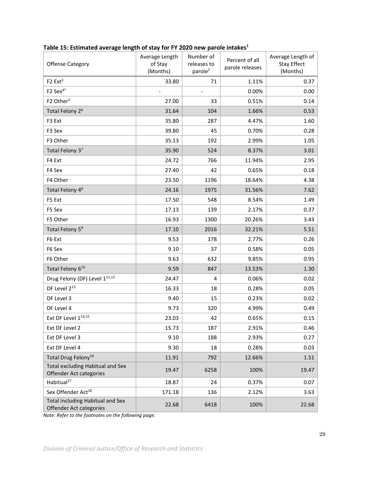| <b>Offense Category</b>                                            | Average Length<br>of Stay<br>(Months) | Number of<br>releases to<br>parole <sup>2</sup> | Percent of all<br>parole releases | Average Length of<br><b>Stay Effect</b><br>(Months) |
|--------------------------------------------------------------------|---------------------------------------|-------------------------------------------------|-----------------------------------|-----------------------------------------------------|
| $F2$ Ext <sup>3</sup>                                              | 33.80                                 | 71                                              | 1.11%                             | 0.37                                                |
| F2 Sex $4^*$                                                       |                                       | $\blacksquare$                                  | 0.00%                             | 0.00                                                |
| F2 Other <sup>5</sup>                                              | 27.00                                 | 33                                              | 0.51%                             | 0.14                                                |
| Total Felony 2 <sup>6</sup>                                        | 31.64                                 | 104                                             | 1.66%                             | 0.53                                                |
| F3 Ext                                                             | 35.80                                 | 287                                             | 4.47%                             | 1.60                                                |
| F3 Sex                                                             | 39.80                                 | 45                                              | 0.70%                             | 0.28                                                |
| F3 Other                                                           | 35.13                                 | 192                                             | 2.99%                             | 1.05                                                |
| Total Felony 37                                                    | 35.90                                 | 524                                             | 8.37%                             | 3.01                                                |
| F4 Ext                                                             | 24.72                                 | 766                                             | 11.94%                            | 2.95                                                |
| F4 Sex                                                             | 27.40                                 | 42                                              | 0.65%                             | 0.18                                                |
| F4 Other                                                           | 23.50                                 | 1196                                            | 18.64%                            | 4.38                                                |
| Total Felony 48                                                    | 24.16                                 | 1975                                            | 31.56%                            | 7.62                                                |
| F5 Ext                                                             | 17.50                                 | 548                                             | 8.54%                             | 1.49                                                |
| F5 Sex                                                             | 17.13                                 | 139                                             | 2.17%                             | 0.37                                                |
| F5 Other                                                           | 16.93                                 | 1300                                            | 20.26%                            | 3.43                                                |
| Total Felony 5 <sup>9</sup>                                        | 17.10                                 | 2016                                            | 32.21%                            | 5.51                                                |
| F6 Ext                                                             | 9.53                                  | 178                                             | 2.77%                             | 0.26                                                |
| F6 Sex                                                             | 9.10                                  | 37                                              | 0.58%                             | 0.05                                                |
| F6 Other                                                           | 9.63                                  | 632                                             | 9.85%                             | 0.95                                                |
| Total Felony 6 <sup>10</sup>                                       | 9.59                                  | 847                                             | 13.53%                            | 1.30                                                |
| Drug Felony (DF) Level 111,12                                      | 24.47                                 | 4                                               | 0.06%                             | 0.02                                                |
| DF Level 2 <sup>13</sup>                                           | 16.33                                 | 18                                              | 0.28%                             | 0.05                                                |
| DF Level 3                                                         | 9.40                                  | 15                                              | 0.23%                             | 0.02                                                |
| DF Level 4                                                         | 9.73                                  | 320                                             | 4.99%                             | 0.49                                                |
| Ext DF Level 1 <sup>14,15</sup>                                    | 23.03                                 | 42                                              | 0.65%                             | 0.15                                                |
| Ext DF Level 2                                                     | 15.73                                 | 187                                             | 2.91%                             | 0.46                                                |
| Ext DF Level 3                                                     | 9.10                                  | 188                                             | 2.93%                             | 0.27                                                |
| Ext DF Level 4                                                     | 9.30                                  | 18                                              | 0.28%                             | 0.03                                                |
| Total Drug Felony <sup>16</sup>                                    | 11.91                                 | 792                                             | 12.66%                            | 1.51                                                |
| <b>Total excluding Habitual and Sex</b><br>Offender Act categories | 19.47                                 | 6258                                            | 100%                              | 19.47                                               |
| Habitual <sup>17</sup>                                             | 18.87                                 | 24                                              | 0.37%                             | 0.07                                                |
| Sex Offender Act <sup>18</sup>                                     | 171.18                                | 136                                             | 2.12%                             | 3.63                                                |
| <b>Total including Habitual and Sex</b><br>Offender Act categories | 22.68                                 | 6418                                            | 100%                              | 22.68                                               |

**Table 15: Estimated average length of stay for FY 2020 new parole intakes1**

*Note: Refer to the footnotes on the following page.*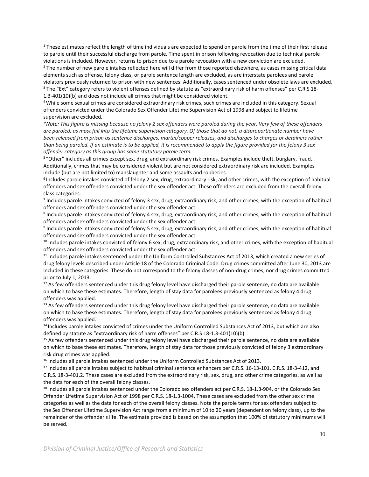<sup>1</sup> These estimates reflect the length of time individuals are expected to spend on parole from the time of their first release to parole until their successful discharge from parole. Time spent in prison following revocation due to technical parole violations is included. However, returns to prison due to a parole revocation with a new conviction are excluded.<br><sup>2</sup> The number of new parole intakes reflected here will differ from those reported elsewhere, as cases miss

elements such as offense, felony class, or parole sentence length are excluded, as are interstate parolees and parole violators previously returned to prison with new sentences. Additionally, cases sentenced under obsolete laws are excluded. <sup>3</sup> The "Ext" category refers to violent offenses defined by statute as "extraordinary risk of harm offenses" per C.R.S 18-

1.3-401(10)(b) and does not include all crimes that might be considered violent.<br><sup>4</sup> While some sexual crimes are considered extraordinary risk crimes, such crimes are included in this category. Sexual offenders convicted under the Colorado Sex Offender Lifetime Supervision Act of 1998 and subject to lifetime supervision are excluded*.* 

*\*Note: This figure is missing because no felony 2 sex offenders were paroled during the year. Very few of these offenders are paroled, as most fall into the lifetime supervision category. Of those that do not, a disproportionate number have been released from prison as sentence discharges, martin/cooper releases, and discharges to charges or detainers rather than being paroled. If an estimate is to be applied, it is recommended to apply the figure provided for the felony 3 sex offender category as this group has same statutory parole term.* 

<sup>5</sup> "Other" includes all crimes except sex, drug, and extraordinary risk crimes. Examples include theft, burglary, fraud. Additionally, crimes that may be considered violent but are not considered extraordinary risk are included. Examples

include (but are not limited to) manslaughter and some assaults and robberies.<br><sup>6</sup> Includes parole intakes convicted of felony 2 sex, drug, extraordinary risk, and other crimes, with the exception of habitual offenders and sex offenders convicted under the sex offender act. These offenders are excluded from the overall felony class categories.

 $<sup>7</sup>$  Includes parole intakes convicted of felony 3 sex, drug, extraordinary risk, and other crimes, with the exception of habitual</sup> offenders and sex offenders convicted under the sex offender act.

<sup>8</sup> Includes parole intakes convicted of felony 4 sex, drug, extraordinary risk, and other crimes, with the exception of habitual offenders and sex offenders convicted under the sex offender act.

<sup>9</sup> Includes parole intakes convicted of felony 5 sex, drug, extraordinary risk, and other crimes, with the exception of habitual offenders and sex offenders convicted under the sex offender act.

<sup>10</sup> Includes parole intakes convicted of felony 6 sex, drug, extraordinary risk, and other crimes, with the exception of habitual offenders and sex offenders convicted under the sex offender act.

<sup>11</sup> Includes parole intakes sentenced under the Uniform Controlled Substances Act of 2013, which created a new series of drug felony levels described under Article 18 of the Colorado Criminal Code. Drug crimes committed after June 30, 2013 are included in these categories. These do not correspond to the felony classes of non-drug crimes, nor drug crimes committed prior to July 1, 2013.

 $12$  As few offenders sentenced under this drug felony level have discharged their parole sentence, no data are available on which to base these estimates. Therefore, length of stay data for parolees previously sentenced as felony 4 drug offenders was applied.

 $<sup>13</sup>$  As few offenders sentenced under this drug felony level have discharged their parole sentence, no data are available</sup> on which to base these estimates. Therefore, length of stay data for parolees previously sentenced as felony 4 drug offenders was applied.

14 Includes parole intakes convicted of crimes under the Uniform Controlled Substances Act of 2013, but which are also defined by statute as "extraordinary risk of harm offenses" per C.R.S 18-1.3-401(10)(b).

<sup>15</sup> As few offenders sentenced under this drug felony level have discharged their parole sentence, no data are available on which to base these estimates. Therefore, length of stay data for those previously convicted of felony 3 extraordinary risk drug crimes was applied.

<sup>16</sup> Includes all parole intakes sentenced under the Uniform Controlled Substances Act of 2013.<br><sup>17</sup> Includes all parole intakes subject to habitual criminal sentence enhancers per C.R.S. 16-13-101, C.R.S. 18-3-412, and C.R.S. 18-3-401.2. These cases are excluded from the extraordinary risk, sex, drug, and other crime categories. as well as the data for each of the overall felony classes.

<sup>18</sup> Includes all parole intakes sentenced under the Colorado sex offenders act per C.R.S. 18-1.3-904, or the Colorado Sex Offender Lifetime Supervision Act of 1998 per C.R.S. 18-1.3-1004. These cases are excluded from the other sex crime categories as well as the data for each of the overall felony classes. Note the parole terms for sex offenders subject to the Sex Offender Lifetime Supervision Act range from a minimum of 10 to 20 years (dependent on felony class), up to the remainder of the offender's life. The estimate provided is based on the assumption that 100% of statutory minimums will be served.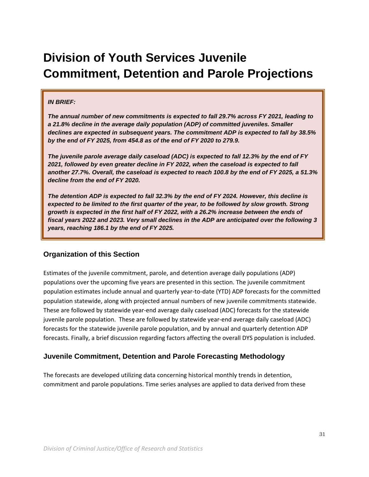# **Division of Youth Services Juvenile Commitment, Detention and Parole Projections**

### *IN BRIEF:*

*The annual number of new commitments is expected to fall 29.7% across FY 2021, leading to a 21.8% decline in the average daily population (ADP) of committed juveniles. Smaller declines are expected in subsequent years. The commitment ADP is expected to fall by 38.5% by the end of FY 2025, from 454.8 as of the end of FY 2020 to 279.9.* 

*The juvenile parole average daily caseload (ADC) is expected to fall 12.3% by the end of FY*  2021, followed by even greater decline in FY 2022, when the caseload is expected to fall *another 27.7%. Overall, the caseload is expected to reach 100.8 by the end of FY 2025, a 51.3% decline from the end of FY 2020.* 

*The detention ADP is expected to fall 32.3% by the end of FY 2024. However, this decline is expected to be limited to the first quarter of the year, to be followed by slow growth. Strong growth is expected in the first half of FY 2022, with a 26.2% increase between the ends of fiscal years 2022 and 2023. Very small declines in the ADP are anticipated over the following 3 years, reaching 186.1 by the end of FY 2025.* 

### **Organization of this Section**

Estimates of the juvenile commitment, parole, and detention average daily populations (ADP) populations over the upcoming five years are presented in this section. The juvenile commitment population estimates include annual and quarterly year-to-date (YTD) ADP forecasts for the committed population statewide, along with projected annual numbers of new juvenile commitments statewide. These are followed by statewide year-end average daily caseload (ADC) forecasts for the statewide juvenile parole population. These are followed by statewide year-end average daily caseload (ADC) forecasts for the statewide juvenile parole population, and by annual and quarterly detention ADP forecasts. Finally, a brief discussion regarding factors affecting the overall DYS population is included.

### **Juvenile Commitment, Detention and Parole Forecasting Methodology**

The forecasts are developed utilizing data concerning historical monthly trends in detention, commitment and parole populations. Time series analyses are applied to data derived from these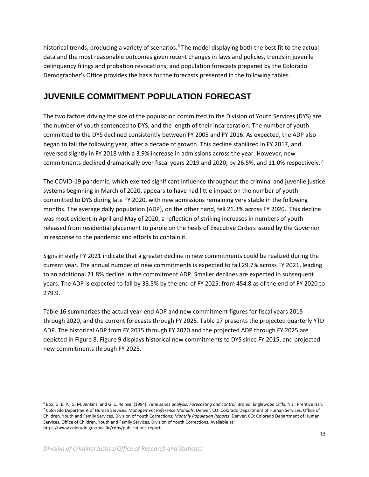historical trends, producing a variety of scenarios.<sup>[6](#page-35-0)</sup> The model displaying both the best fit to the actual data and the most reasonable outcomes given recent changes in laws and policies, trends in juvenile delinquency filings and probation revocations, and population forecasts prepared by the Colorado Demographer's Office provides the basis for the forecasts presented in the following tables.

### **JUVENILE COMMITMENT POPULATION FORECAST**

The two factors driving the size of the population committed to the Division of Youth Services (DYS) are the number of youth sentenced to DYS, and the length of their incarceration. The number of youth committed to the DYS declined consistently between FY 2005 and FY 2016. As expected, the ADP also began to fall the following year, after a decade of growth. This decline stabilized in FY 2017, and reversed slightly in FY 2018 with a 3.9% increase in admissions across the year. However, new commitments declined dramatically over fiscal years 2019 and 2020, by 26.5%, and 11.0% respectively.<sup>[7](#page-35-1)</sup>

The COVID-19 pandemic, which exerted significant influence throughout the criminal and juvenile justice systems beginning in March of 2020, appears to have had little impact on the number of youth committed to DYS during late FY 2020, with new admissions remaining very stable in the following months. The average daily population (ADP), on the other hand, fell 21.3% across FY 2020. This decline was most evident in April and May of 2020, a reflection of striking increases in numbers of youth released from residential placement to parole on the heels of Executive Orders issued by the Governor in response to the pandemic and efforts to contain it.

Signs in early FY 2021 indicate that a greater decline in new commitments could be realized during the current year. The annual number of new commitments is expected to fall 29.7% across FY 2021, leading to an additional 21.8% decline in the commitment ADP. Smaller declines are expected in subsequent years. The ADP is expected to fall by 38.5% by the end of FY 2025, from 454.8 as of the end of FY 2020 to 279.9.

Table 16 summarizes the actual year-end ADP and new commitment figures for fiscal years 2015 through 2020, and the current forecasts through FY 2025. Table 17 presents the projected quarterly YTD ADP. The historical ADP from FY 2015 through FY 2020 and the projected ADP through FY 2025 are depicted in Figure 8. Figure 9 displays historical new commitments to DYS since FY 2015, and projected new commitments through FY 2025.

l

<span id="page-35-1"></span><span id="page-35-0"></span><sup>6</sup> Box, G. E. P., G. M. Jenkins, and G. C. Reinsel (1994). *Time series analysis: Forecasting and control*, 3rd ed. Englewood Cliffs, N.J.: Prentice Hall. <sup>7</sup> Colorado Department of Human Services. *Management Reference Manuals*. Denver, CO: Colorado Department of Human Services, Office of Children, Youth and Family Services, Division of Youth Corrections; *Monthly Population Reports*. Denver, CO: Colorado Department of Human Services, Office of Children, Youth and Family Services, Division of Youth Corrections. Available at: https://www.colorado.gov/pacific/cdhs/publications-reports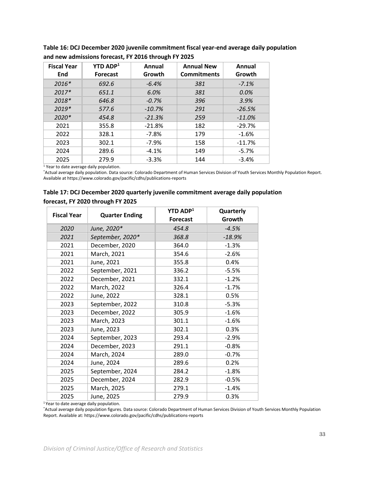| <b>Fiscal Year</b><br>End | YTD ADP <sup>1</sup><br><b>Forecast</b> | Annual<br>Growth | <b>Annual New</b><br><b>Commitments</b> | Annual<br>Growth |
|---------------------------|-----------------------------------------|------------------|-----------------------------------------|------------------|
| $2016*$                   | 692.6                                   | $-6.4%$          | 381                                     | $-7.1%$          |
| $2017*$                   | 651.1                                   | 6.0%             | 381                                     | $0.0\%$          |
| 2018*                     | 646.8                                   | $-0.7%$          | 396                                     | 3.9%             |
| $2019*$                   | 577.6                                   | $-10.7%$         | 291                                     | $-26.5%$         |
| 2020*                     | 454.8                                   | $-21.3%$         | 259                                     | $-11.0%$         |
| 2021                      | 355.8                                   | $-21.8%$         | 182                                     | $-29.7%$         |
| 2022                      | 328.1                                   | $-7.8%$          | 179                                     | $-1.6%$          |
| 2023                      | 302.1                                   | $-7.9\%$         | 158                                     | $-11.7%$         |
| 2024                      | 289.6                                   | $-4.1%$          | 149                                     | $-5.7%$          |
| 2025                      | 279.9                                   | $-3.3%$          | 144                                     | $-3.4%$          |

**Table 16: DCJ December 2020 juvenile commitment fiscal year-end average daily population and new admissions forecast, FY 2016 through FY 2025**

 $1$  Year to date average daily population.

\*Actual average daily population. Data source: Colorado Department of Human Services Division of Youth Services Monthly Population Report. Available at https://www.colorado.gov/pacific/cdhs/publications-reports

| Table 17: DCJ December 2020 quarterly juvenile commitment average daily population |
|------------------------------------------------------------------------------------|
| forecast, FY 2020 through FY 2025                                                  |

| <b>Fiscal Year</b><br><b>Quarter Ending</b> |                  | YTD ADP <sup>1</sup> | Quarterly |
|---------------------------------------------|------------------|----------------------|-----------|
|                                             |                  | <b>Forecast</b>      | Growth    |
| 2020                                        | June, 2020*      | 454.8                | $-4.5%$   |
| 2021                                        | September, 2020* | 368.8                | $-18.9%$  |
| 2021                                        | December, 2020   | 364.0                | $-1.3%$   |
| 2021                                        | March, 2021      | 354.6                | $-2.6%$   |
| 2021                                        | June, 2021       | 355.8                | 0.4%      |
| 2022                                        | September, 2021  | 336.2                | $-5.5%$   |
| 2022                                        | December, 2021   | 332.1                | $-1.2%$   |
| 2022                                        | March, 2022      | 326.4                | $-1.7%$   |
| 2022                                        | June, 2022       | 328.1                | 0.5%      |
| 2023                                        | September, 2022  | 310.8                | $-5.3%$   |
| 2023                                        | December, 2022   | 305.9                | $-1.6%$   |
| 2023                                        | March, 2023      | 301.1                | $-1.6%$   |
| 2023                                        | June, 2023       | 302.1                | 0.3%      |
| 2024                                        | September, 2023  | 293.4                | $-2.9%$   |
| 2024                                        | December, 2023   | 291.1                | $-0.8%$   |
| 2024                                        | March, 2024      | 289.0                | $-0.7%$   |
| 2024                                        | June, 2024       | 289.6                | 0.2%      |
| 2025                                        | September, 2024  | 284.2                | $-1.8%$   |
| 2025                                        | December, 2024   | 282.9                | $-0.5%$   |
| 2025                                        | March, 2025      | 279.1                | $-1.4%$   |
| 2025                                        | June, 2025       | 279.9                | 0.3%      |

<sup>1</sup> Year to date average daily population.

\*Actual average daily population figures. Data source: Colorado Department of Human Services Division of Youth Services Monthly Population Report. Available at: https://www.colorado.gov/pacific/cdhs/publications-reports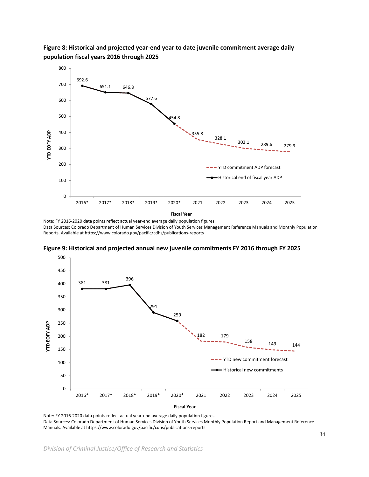

### **Figure 8: Historical and projected year-end year to date juvenile commitment average daily population fiscal years 2016 through 2025**

Note: FY 2016-2020 data points reflect actual year-end average daily population figures. Data Sources: Colorado Department of Human Services Division of Youth Services Management Reference Manuals and Monthly Population Reports. Available at https://www.colorado.gov/pacific/cdhs/publications-reports



**Figure 9: Historical and projected annual new juvenile commitments FY 2016 through FY 2025**

Note: FY 2016-2020 data points reflect actual year-end average daily population figures. Data Sources: Colorado Department of Human Services Division of Youth Services Monthly Population Report and Management Reference Manuals. Available at https://www.colorado.gov/pacific/cdhs/publications-reports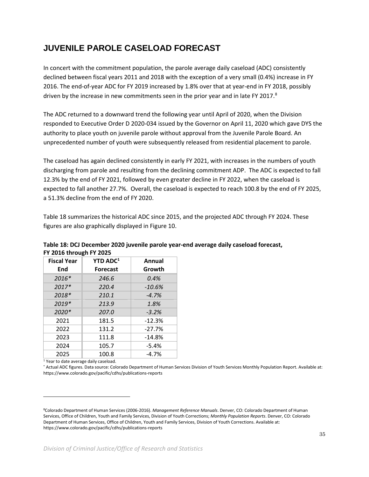### **JUVENILE PAROLE CASELOAD FORECAST**

In concert with the commitment population, the parole average daily caseload (ADC) consistently declined between fiscal years 2011 and 2018 with the exception of a very small (0.4%) increase in FY 2016. The end-of-year ADC for FY 2019 increased by 1.8% over that at year-end in FY 2018, possibly driven by the increase in new commitments seen in the prior year and in late FY 2017.<sup>[8](#page-38-0)</sup>

The ADC returned to a downward trend the following year until April of 2020, when the Division responded to Executive Order D 2020-034 issued by the Governor on April 11, 2020 which gave DYS the authority to place youth on juvenile parole without approval from the Juvenile Parole Board. An unprecedented number of youth were subsequently released from residential placement to parole.

The caseload has again declined consistently in early FY 2021, with increases in the numbers of youth discharging from parole and resulting from the declining commitment ADP. The ADC is expected to fall 12.3% by the end of FY 2021, followed by even greater decline in FY 2022, when the caseload is expected to fall another 27.7%. Overall, the caseload is expected to reach 100.8 by the end of FY 2025, a 51.3% decline from the end of FY 2020.

Table 18 summarizes the historical ADC since 2015, and the projected ADC through FY 2024. These figures are also graphically displayed in Figure 10.

| <b>Fiscal Year</b> | <b>YTD ADC1</b> | Annual   |
|--------------------|-----------------|----------|
| End                | <b>Forecast</b> | Growth   |
| 2016*              | 246.6           | 0.4%     |
| $2017*$            | 220.4           | $-10.6%$ |
| 2018*              | 210.1           | $-4.7%$  |
| 2019*              | 213.9           | 1.8%     |
| 2020*              | 207.0           | $-3.2%$  |
| 2021               | 181.5           | $-12.3%$ |
| 2022               | 131.2           | $-27.7%$ |
| 2023               | 111.8           | $-14.8%$ |
| 2024               | 105.7           | $-5.4%$  |
| 2025               | 100.8           | $-4.7%$  |

### **Table 18: DCJ December 2020 juvenile parole year-end average daily caseload forecast, FY 2016 through FY 2025**

<sup>1</sup> Year to date average daily caseload.

l

\* Actual ADC figures. Data source: Colorado Department of Human Services Division of Youth Services Monthly Population Report. Available at: https://www.colorado.gov/pacific/cdhs/publications-reports

<span id="page-38-0"></span><sup>8</sup>Colorado Department of Human Services (2006-2016). *Management Reference Manuals*. Denver, CO: Colorado Department of Human Services, Office of Children, Youth and Family Services, Division of Youth Corrections; *Monthly Population Reports*. Denver, CO: Colorado Department of Human Services, Office of Children, Youth and Family Services, Division of Youth Corrections. Available at: https://www.colorado.gov/pacific/cdhs/publications-reports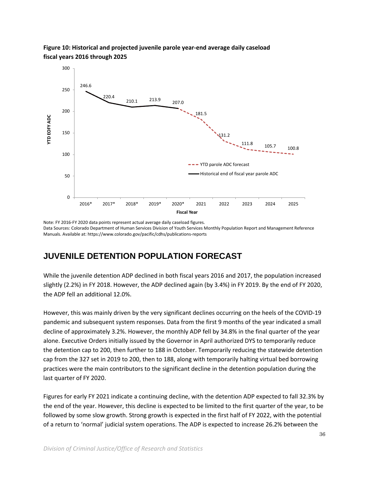

### **Figure 10: Historical and projected juvenile parole year-end average daily caseload fiscal years 2016 through 2025**

Note: FY 2016-FY 2020 data points represent actual average daily caseload figures. Data Sources: Colorado Department of Human Services Division of Youth Services Monthly Population Report and Management Reference Manuals. Available at: https://www.colorado.gov/pacific/cdhs/publications-reports

### **JUVENILE DETENTION POPULATION FORECAST**

While the juvenile detention ADP declined in both fiscal years 2016 and 2017, the population increased slightly (2.2%) in FY 2018. However, the ADP declined again (by 3.4%) in FY 2019. By the end of FY 2020, the ADP fell an additional 12.0%.

However, this was mainly driven by the very significant declines occurring on the heels of the COVID-19 pandemic and subsequent system responses. Data from the first 9 months of the year indicated a small decline of approximately 3.2%. However, the monthly ADP fell by 34.8% in the final quarter of the year alone. Executive Orders initially issued by the Governor in April authorized DYS to temporarily reduce the detention cap to 200, then further to 188 in October. Temporarily reducing the statewide detention cap from the 327 set in 2019 to 200, then to 188, along with temporarily halting virtual bed borrowing practices were the main contributors to the significant decline in the detention population during the last quarter of FY 2020.

Figures for early FY 2021 indicate a continuing decline, with the detention ADP expected to fall 32.3% by the end of the year. However, this decline is expected to be limited to the first quarter of the year, to be followed by some slow growth. Strong growth is expected in the first half of FY 2022, with the potential of a return to 'normal' judicial system operations. The ADP is expected to increase 26.2% between the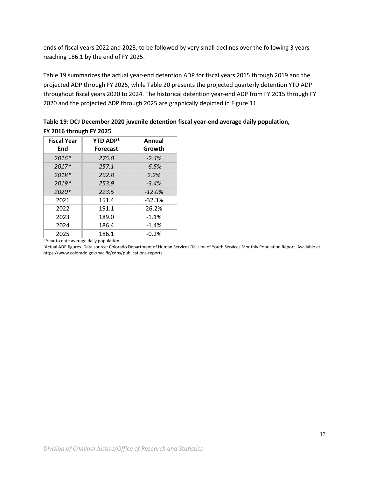ends of fiscal years 2022 and 2023, to be followed by very small declines over the following 3 years reaching 186.1 by the end of FY 2025.

Table 19 summarizes the actual year-end detention ADP for fiscal years 2015 through 2019 and the projected ADP through FY 2025, while Table 20 presents the projected quarterly detention YTD ADP throughout fiscal years 2020 to 2024. The historical detention year-end ADP from FY 2015 through FY 2020 and the projected ADP through 2025 are graphically depicted in Figure 11.

| <b>Fiscal Year</b><br>End | YTD ADP <sup>1</sup><br><b>Forecast</b> | Annual<br>Growth |
|---------------------------|-----------------------------------------|------------------|
| 2016*                     | 275.0                                   | $-2.4%$          |
| 2017*                     | 257.1                                   | $-6.5%$          |
| 2018*                     | 262.8                                   | 2.2%             |
| 2019*                     | 253.9                                   | $-3.4%$          |
| 2020*                     | 223.5                                   | $-12.0%$         |
| 2021                      | 151.4                                   | $-32.3%$         |
| 2022                      | 191.1                                   | 26.2%            |
| 2023                      | 189.0                                   | $-1.1%$          |
| 2024                      | 186.4                                   | $-1.4%$          |
| 2025                      | 186.1                                   | $-0.2%$          |

**Table 19: DCJ December 2020 juvenile detention fiscal year-end average daily population, FY 2016 through FY 2025**

<sup>1</sup> Year to date average daily population.

\*Actual ADP figures. Data source: Colorado Department of Human Services Division of Youth Services Monthly Population Report. Available at: https://www.colorado.gov/pacific/cdhs/publications-reports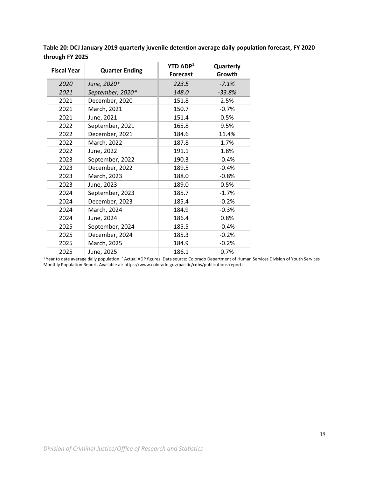| <b>Fiscal Year</b> |                       | YTD ADP <sup>1</sup> | Quarterly |
|--------------------|-----------------------|----------------------|-----------|
|                    | <b>Quarter Ending</b> | <b>Forecast</b>      | Growth    |
| 2020               | June, 2020*           | 223.5                | $-7.1%$   |
| 2021               | September, 2020*      | 148.0                | $-33.8%$  |
| 2021               | December, 2020        | 151.8                | 2.5%      |
| 2021               | March, 2021           | 150.7                | $-0.7%$   |
| 2021               | June, 2021            | 151.4                | 0.5%      |
| 2022               | September, 2021       | 165.8                | 9.5%      |
| 2022               | December, 2021        | 184.6                | 11.4%     |
| 2022               | March, 2022           | 187.8                | 1.7%      |
| 2022               | June, 2022            | 191.1                | 1.8%      |
| 2023               | September, 2022       | 190.3                | $-0.4%$   |
| 2023               | December, 2022        | 189.5                | $-0.4%$   |
| 2023               | March, 2023           | 188.0                | $-0.8%$   |
| 2023               | June, 2023            | 189.0                | 0.5%      |
| 2024               | September, 2023       | 185.7                | $-1.7%$   |
| 2024               | December, 2023        | 185.4                | $-0.2%$   |
| 2024               | March, 2024           | 184.9                | $-0.3%$   |
| 2024               | June, 2024            | 186.4                | 0.8%      |
| 2025               | September, 2024       | 185.5                | $-0.4%$   |
| 2025               | December, 2024        | 185.3                | $-0.2%$   |
| 2025               | March, 2025           | 184.9                | $-0.2%$   |
| 2025               | June, 2025            | 186.1                | 0.7%      |

**Table 20: DCJ January 2019 quarterly juvenile detention average daily population forecast, FY 2020 through FY 2025**

<sup>1</sup> Year to date average daily population. \* Actual ADP figures. Data source: Colorado Department of Human Services Division of Youth Services Monthly Population Report. Available at: https://www.colorado.gov/pacific/cdhs/publications-reports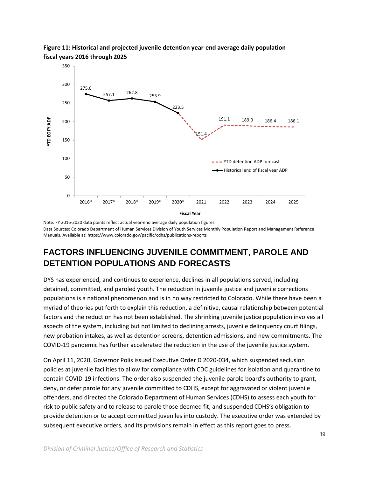

**Figure 11: Historical and projected juvenile detention year-end average daily population fiscal years 2016 through 2025**

Note: FY 2016-2020 data points reflect actual year-end average daily population figures. Data Sources: Colorado Department of Human Services Division of Youth Services Monthly Population Report and Management Reference Manuals. Available at: https://www.colorado.gov/pacific/cdhs/publications-reports

### **FACTORS INFLUENCING JUVENILE COMMITMENT, PAROLE AND DETENTION POPULATIONS AND FORECASTS**

DYS has experienced, and continues to experience, declines in all populations served, including detained, committed, and paroled youth. The reduction in juvenile justice and juvenile corrections populations is a national phenomenon and is in no way restricted to Colorado. While there have been a myriad of theories put forth to explain this reduction, a definitive, causal relationship between potential factors and the reduction has not been established. The shrinking juvenile justice population involves all aspects of the system, including but not limited to declining arrests, juvenile delinquency court filings, new probation intakes, as well as detention screens, detention admissions, and new commitments. The COVID-19 pandemic has further accelerated the reduction in the use of the juvenile justice system.

On April 11, 2020, Governor Polis issued Executive Order D 2020-034, which suspended seclusion policies at juvenile facilities to allow for compliance with CDC guidelines for isolation and quarantine to contain COVID-19 infections. The order also suspended the juvenile parole board's authority to grant, deny, or defer parole for any juvenile committed to CDHS, except for aggravated or violent juvenile offenders, and directed the Colorado Department of Human Services (CDHS) to assess each youth for risk to public safety and to release to parole those deemed fit, and suspended CDHS's obligation to provide detention or to accept committed juveniles into custody. The executive order was extended by subsequent executive orders, and its provisions remain in effect as this report goes to press.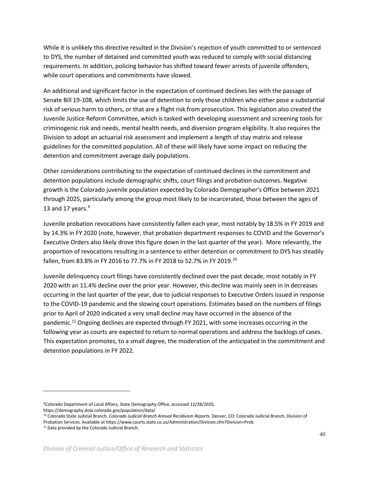While it is unlikely this directive resulted in the Division's rejection of youth committed to or sentenced to DYS, the number of detained and committed youth was reduced to comply with social distancing requirements. In addition, policing behavior has shifted toward fewer arrests of juvenile offenders, while court operations and commitments have slowed.

An additional and significant factor in the expectation of continued declines lies with the passage of Senate Bill 19-108, which limits the use of detention to only those children who either pose a substantial risk of serious harm to others, or that are a flight risk from prosecution. This legislation also created the Juvenile Justice Reform Committee, which is tasked with developing assessment and screening tools for criminogenic risk and needs, mental health needs, and diversion program eligibility. It also requires the Division to adopt an actuarial risk assessment and implement a length of stay matrix and release guidelines for the committed population. All of these will likely have some impact on reducing the detention and commitment average daily populations.

Other considerations contributing to the expectation of continued declines in the commitment and detention populations include demographic shifts, court filings and probation outcomes. Negative growth is the Colorado juvenile population expected by Colorado Demographer's Office between 2021 through 2025, particularly among the group most likely to be incarcerated, those between the ages of 13 and 17 years. $9$ 

Juvenile probation revocations have consistently fallen each year, most notably by 18.5% in FY 2019 and by 14.3% in FY 2020 (note, however, that probation department responses to COVID and the Governor's Executive Orders also likely drove this figure down in the last quarter of the year). More relevantly, the proportion of revocations resulting in a sentence to either detention or commitment to DYS has steadily fallen, from 83.8% in FY 2016 to 77.7% in FY 2018 to 52.7% in FY 2019.[10](#page-43-1)

Juvenile delinquency court filings have consistently declined over the past decade, most notably in FY 2020 with an 11.4% decline over the prior year. However, this decline was mainly seen in in decreases occurring in the last quarter of the year, due to judicial responses to Executive Orders issued in response to the COVID-19 pandemic and the slowing court operations. Estimates based on the numbers of filings prior to April of 2020 indicated a very small decline may have occurred in the absence of the pandemic.<sup>[11](#page-43-2)</sup> Ongoing declines are expected through FY 2021, with some increases occurring in the following year as courts are expected to return to normal operations and address the backlogs of cases. This expectation promotes, to a small degree, the moderation of the anticipated in the commitment and detention populations in FY 2022.

l

<span id="page-43-0"></span><sup>9</sup> Colorado Department of Local Affairs, State Demography Office, accessed 12/28/2020,

https://demography.dola.colorado.gov/population/data/

<span id="page-43-1"></span><sup>&</sup>lt;sup>10</sup> Colorado State Judicial Branch. *Colorado Judicial Branch Annual Recidivism Reports*. Denver, CO: Colorado Judicial Branch, Division of Probation Services. Available at https://www.courts.state.co.us/Administration/Division.cfm?Division=Prob

<span id="page-43-2"></span><sup>&</sup>lt;sup>11</sup> Data provided by the Colorado Judicial Branch.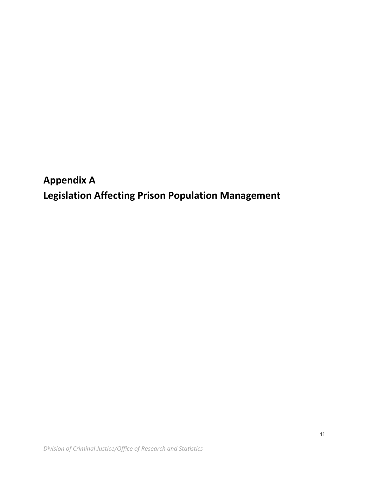**Appendix A Legislation Affecting Prison Population Management**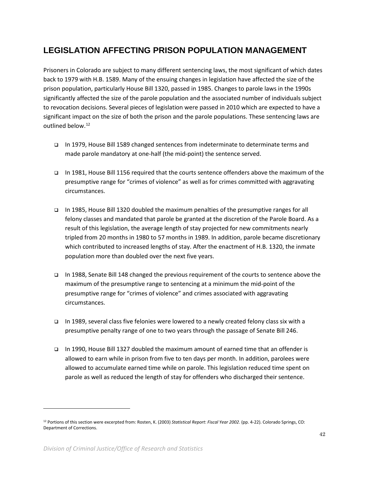### **LEGISLATION AFFECTING PRISON POPULATION MANAGEMENT**

Prisoners in Colorado are subject to many different sentencing laws, the most significant of which dates back to 1979 with H.B. 1589. Many of the ensuing changes in legislation have affected the size of the prison population, particularly House Bill 1320, passed in 1985. Changes to parole laws in the 1990s significantly affected the size of the parole population and the associated number of individuals subject to revocation decisions. Several pieces of legislation were passed in 2010 which are expected to have a significant impact on the size of both the prison and the parole populations. These sentencing laws are outlined below.[12](#page-45-0)

- In 1979, House Bill 1589 changed sentences from indeterminate to determinate terms and made parole mandatory at one-half (the mid-point) the sentence served.
- In 1981, House Bill 1156 required that the courts sentence offenders above the maximum of the presumptive range for "crimes of violence" as well as for crimes committed with aggravating circumstances.
- In 1985, House Bill 1320 doubled the maximum penalties of the presumptive ranges for all felony classes and mandated that parole be granted at the discretion of the Parole Board. As a result of this legislation, the average length of stay projected for new commitments nearly tripled from 20 months in 1980 to 57 months in 1989. In addition, parole became discretionary which contributed to increased lengths of stay. After the enactment of H.B. 1320, the inmate population more than doubled over the next five years.
- In 1988, Senate Bill 148 changed the previous requirement of the courts to sentence above the maximum of the presumptive range to sentencing at a minimum the mid-point of the presumptive range for "crimes of violence" and crimes associated with aggravating circumstances.
- In 1989, several class five felonies were lowered to a newly created felony class six with a presumptive penalty range of one to two years through the passage of Senate Bill 246.
- In 1990, House Bill 1327 doubled the maximum amount of earned time that an offender is allowed to earn while in prison from five to ten days per month. In addition, parolees were allowed to accumulate earned time while on parole. This legislation reduced time spent on parole as well as reduced the length of stay for offenders who discharged their sentence.

l

<span id="page-45-0"></span><sup>12</sup> Portions of this section were excerpted from: Rosten, K. (2003) *Statistical Report*: *Fiscal Year 2002*. (pp. 4-22). Colorado Springs, CO: Department of Corrections.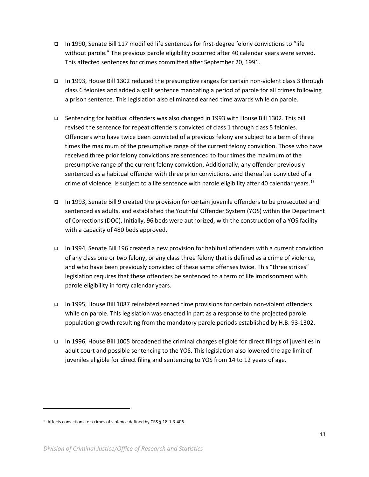- In 1990, Senate Bill 117 modified life sentences for first-degree felony convictions to "life without parole." The previous parole eligibility occurred after 40 calendar years were served. This affected sentences for crimes committed after September 20, 1991.
- In 1993, House Bill 1302 reduced the presumptive ranges for certain non-violent class 3 through class 6 felonies and added a split sentence mandating a period of parole for all crimes following a prison sentence. This legislation also eliminated earned time awards while on parole.
- Sentencing for habitual offenders was also changed in 1993 with House Bill 1302. This bill revised the sentence for repeat offenders convicted of class 1 through class 5 felonies. Offenders who have twice been convicted of a previous felony are subject to a term of three times the maximum of the presumptive range of the current felony conviction. Those who have received three prior felony convictions are sentenced to four times the maximum of the presumptive range of the current felony conviction. Additionally, any offender previously sentenced as a habitual offender with three prior convictions, and thereafter convicted of a crime of violence, is subject to a life sentence with parole eligibility after 40 calendar years.<sup>[13](#page-46-0)</sup>
- In 1993, Senate Bill 9 created the provision for certain juvenile offenders to be prosecuted and sentenced as adults, and established the Youthful Offender System (YOS) within the Department of Corrections (DOC). Initially, 96 beds were authorized, with the construction of a YOS facility with a capacity of 480 beds approved.
- In 1994, Senate Bill 196 created a new provision for habitual offenders with a current conviction of any class one or two felony, or any class three felony that is defined as a crime of violence, and who have been previously convicted of these same offenses twice. This "three strikes" legislation requires that these offenders be sentenced to a term of life imprisonment with parole eligibility in forty calendar years.
- In 1995, House Bill 1087 reinstated earned time provisions for certain non-violent offenders while on parole. This legislation was enacted in part as a response to the projected parole population growth resulting from the mandatory parole periods established by H.B. 93-1302.
- In 1996, House Bill 1005 broadened the criminal charges eligible for direct filings of juveniles in adult court and possible sentencing to the YOS. This legislation also lowered the age limit of juveniles eligible for direct filing and sentencing to YOS from 14 to 12 years of age.

 $\overline{\phantom{a}}$ 

<span id="page-46-0"></span><sup>&</sup>lt;sup>13</sup> Affects convictions for crimes of violence defined by CRS § 18-1.3-406.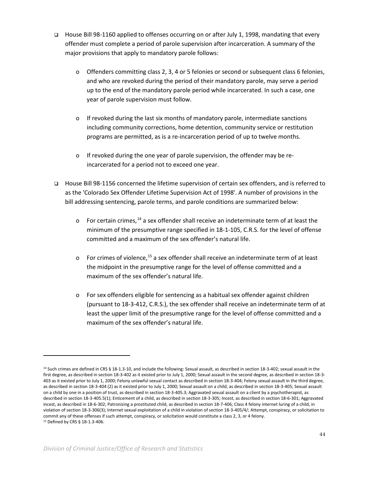- House Bill 98-1160 applied to offenses occurring on or after July 1, 1998, mandating that every offender must complete a period of parole supervision after incarceration. A summary of the major provisions that apply to mandatory parole follows:
	- o Offenders committing class 2, 3, 4 or 5 felonies or second or subsequent class 6 felonies, and who are revoked during the period of their mandatory parole, may serve a period up to the end of the mandatory parole period while incarcerated. In such a case, one year of parole supervision must follow.
	- o If revoked during the last six months of mandatory parole, intermediate sanctions including community corrections, home detention, community service or restitution programs are permitted, as is a re-incarceration period of up to twelve months.
	- o If revoked during the one year of parole supervision, the offender may be reincarcerated for a period not to exceed one year.
- House Bill 98-1156 concerned the lifetime supervision of certain sex offenders, and is referred to as the 'Colorado Sex Offender Lifetime Supervision Act of 1998'. A number of provisions in the bill addressing sentencing, parole terms, and parole conditions are summarized below:
	- o For certain crimes,  $14$  a sex offender shall receive an indeterminate term of at least the minimum of the presumptive range specified in 18-1-105, C.R.S. for the level of offense committed and a maximum of the sex offender's natural life.
	- o For crimes of violence,[15](#page-47-1) a sex offender shall receive an indeterminate term of at least the midpoint in the presumptive range for the level of offense committed and a maximum of the sex offender's natural life.
	- o For sex offenders eligible for sentencing as a habitual sex offender against children (pursuant to 18-3-412, C.R.S.), the sex offender shall receive an indeterminate term of at least the upper limit of the presumptive range for the level of offense committed and a maximum of the sex offender's natural life.

l

<span id="page-47-1"></span><span id="page-47-0"></span><sup>&</sup>lt;sup>14</sup> Such crimes are defined in CRS § 18-1.3-10, and include the following: Sexual assault, as described in section 18-3-402; sexual assault in the first degree, as described in section 18-3-402 as it existed prior to July 1, 2000; Sexual assault in the second degree, as described in section 18-3- 403 as it existed prior to July 1, 2000; Felony unlawful sexual contact as described in section 18-3-404; Felony sexual assault in the third degree, as described in section 18-3-404 (2) as it existed prior to July 1, 2000; Sexual assault on a child, as described in section 18-3-405; Sexual assault on a child by one in a position of trust, as described in section 18-3-405.3; Aggravated sexual assault on a client by a psychotherapist, as described in section 18-3-405.5(1); Enticement of a child, as described in section 18-3-305; Incest, as described in section 18-6-301; Aggravated incest, as described in 18-6-302; Patronizing a prostituted child, as described in section 18-7-406; Class 4 felony internet luring of a child, in violation of section 18-3-306(3); Internet sexual exploitation of a child in violation of section 18-3-405/4/; Attempt, conspiracy, or solicitation to commit any of these offenses if such attempt, conspiracy, or solicitation would constitute a class 2, 3, or 4 felony. <sup>15</sup> Defined by CRS § 18-1.3-406.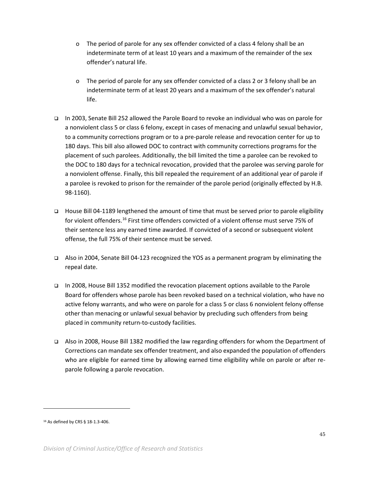- o The period of parole for any sex offender convicted of a class 4 felony shall be an indeterminate term of at least 10 years and a maximum of the remainder of the sex offender's natural life.
- o The period of parole for any sex offender convicted of a class 2 or 3 felony shall be an indeterminate term of at least 20 years and a maximum of the sex offender's natural life.
- In 2003, Senate Bill 252 allowed the Parole Board to revoke an individual who was on parole for a nonviolent class 5 or class 6 felony, except in cases of menacing and unlawful sexual behavior, to a community corrections program or to a pre-parole release and revocation center for up to 180 days. This bill also allowed DOC to contract with community corrections programs for the placement of such parolees. Additionally, the bill limited the time a parolee can be revoked to the DOC to 180 days for a technical revocation, provided that the parolee was serving parole for a nonviolent offense. Finally, this bill repealed the requirement of an additional year of parole if a parolee is revoked to prison for the remainder of the parole period (originally effected by H.B. 98-1160).
- $\Box$  House Bill 04-1189 lengthened the amount of time that must be served prior to parole eligibility for violent offenders.<sup>[16](#page-48-0)</sup> First time offenders convicted of a violent offense must serve 75% of their sentence less any earned time awarded. If convicted of a second or subsequent violent offense, the full 75% of their sentence must be served.
- Also in 2004, Senate Bill 04-123 recognized the YOS as a permanent program by eliminating the repeal date.
- In 2008, House Bill 1352 modified the revocation placement options available to the Parole Board for offenders whose parole has been revoked based on a technical violation, who have no active felony warrants, and who were on parole for a class 5 or class 6 nonviolent felony offense other than menacing or unlawful sexual behavior by precluding such offenders from being placed in community return-to-custody facilities.
- Also in 2008, House Bill 1382 modified the law regarding offenders for whom the Department of Corrections can mandate sex offender treatment, and also expanded the population of offenders who are eligible for earned time by allowing earned time eligibility while on parole or after reparole following a parole revocation.

 $\overline{\phantom{a}}$ 

<span id="page-48-0"></span><sup>16</sup> As defined by CRS § 18-1.3-406.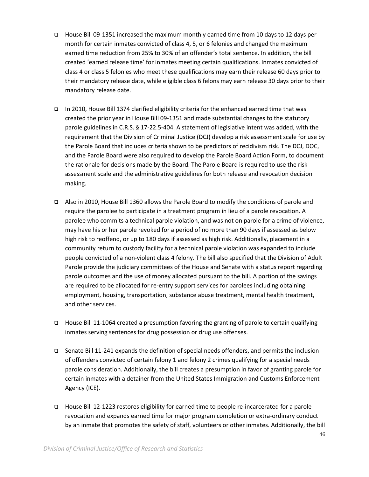- House Bill 09-1351 increased the maximum monthly earned time from 10 days to 12 days per month for certain inmates convicted of class 4, 5, or 6 felonies and changed the maximum earned time reduction from 25% to 30% of an offender's total sentence. In addition, the bill created 'earned release time' for inmates meeting certain qualifications. Inmates convicted of class 4 or class 5 felonies who meet these qualifications may earn their release 60 days prior to their mandatory release date, while eligible class 6 felons may earn release 30 days prior to their mandatory release date.
- □ In 2010, House Bill 1374 clarified eligibility criteria for the enhanced earned time that was created the prior year in House Bill 09-1351 and made substantial changes to the statutory parole guidelines in C.R.S. § 17-22.5-404. A statement of legislative intent was added, with the requirement that the Division of Criminal Justice (DCJ) develop a risk assessment scale for use by the Parole Board that includes criteria shown to be predictors of recidivism risk. The DCJ, DOC, and the Parole Board were also required to develop the Parole Board Action Form, to document the rationale for decisions made by the Board. The Parole Board is required to use the risk assessment scale and the administrative guidelines for both release and revocation decision making.
- Also in 2010, House Bill 1360 allows the Parole Board to modify the conditions of parole and require the parolee to participate in a treatment program in lieu of a parole revocation. A parolee who commits a technical parole violation, and was not on parole for a crime of violence, may have his or her parole revoked for a period of no more than 90 days if assessed as below high risk to reoffend, or up to 180 days if assessed as high risk. Additionally, placement in a community return to custody facility for a technical parole violation was expanded to include people convicted of a non-violent class 4 felony. The bill also specified that the Division of Adult Parole provide the judiciary committees of the House and Senate with a status report regarding parole outcomes and the use of money allocated pursuant to the bill. A portion of the savings are required to be allocated for re-entry support services for parolees including obtaining employment, housing, transportation, substance abuse treatment, mental health treatment, and other services.
- $\Box$  House Bill 11-1064 created a presumption favoring the granting of parole to certain qualifying inmates serving sentences for drug possession or drug use offenses.
- Senate Bill 11-241 expands the definition of special needs offenders, and permits the inclusion of offenders convicted of certain felony 1 and felony 2 crimes qualifying for a special needs parole consideration. Additionally, the bill creates a presumption in favor of granting parole for certain inmates with a detainer from the United States Immigration and Customs Enforcement Agency (ICE).
- House Bill 12-1223 restores eligibility for earned time to people re-incarcerated for a parole revocation and expands earned time for major program completion or extra-ordinary conduct by an inmate that promotes the safety of staff, volunteers or other inmates. Additionally, the bill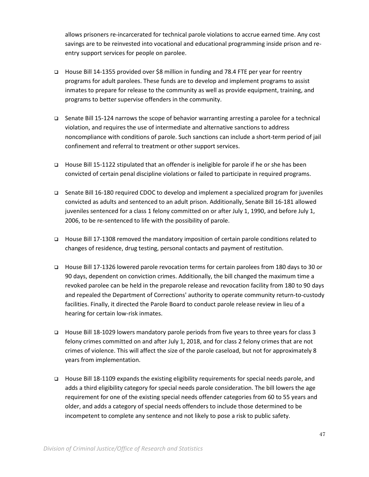allows prisoners re-incarcerated for technical parole violations to accrue earned time. Any cost savings are to be reinvested into vocational and educational programming inside prison and reentry support services for people on parolee.

- House Bill 14-1355 provided over \$8 million in funding and 78.4 FTE per year for reentry programs for adult parolees. These funds are to develop and implement programs to assist inmates to prepare for release to the community as well as provide equipment, training, and programs to better supervise offenders in the community.
- Senate Bill 15-124 narrows the scope of behavior warranting arresting a parolee for a technical violation, and requires the use of intermediate and alternative sanctions to address noncompliance with conditions of parole. Such sanctions can include a short-term period of jail confinement and referral to treatment or other support services.
- House Bill 15-1122 stipulated that an offender is ineligible for parole if he or she has been convicted of certain penal discipline violations or failed to participate in required programs.
- Senate Bill 16-180 required CDOC to develop and implement a specialized program for juveniles convicted as adults and sentenced to an adult prison. Additionally, Senate Bill 16-181 allowed juveniles sentenced for a class 1 felony committed on or after July 1, 1990, and before July 1, 2006, to be re-sentenced to life with the possibility of parole.
- House Bill 17-1308 removed the mandatory imposition of certain parole conditions related to changes of residence, drug testing, personal contacts and payment of restitution.
- House Bill 17-1326 lowered parole revocation terms for certain parolees from 180 days to 30 or 90 days, dependent on conviction crimes. Additionally, the bill changed the maximum time a revoked parolee can be held in the preparole release and revocation facility from 180 to 90 days and repealed the Department of Corrections' authority to operate community return-to-custody facilities. Finally, it directed the Parole Board to conduct parole release review in lieu of a hearing for certain low-risk inmates.
- House Bill 18-1029 lowers mandatory parole periods from five years to three years for class 3 felony crimes committed on and after July 1, 2018, and for class 2 felony crimes that are not crimes of violence. This will affect the size of the parole caseload, but not for approximately 8 years from implementation.
- House Bill 18-1109 expands the existing eligibility requirements for special needs parole, and adds a third eligibility category for special needs parole consideration. The bill lowers the age requirement for one of the existing special needs offender categories from 60 to 55 years and older, and adds a category of special needs offenders to include those determined to be incompetent to complete any sentence and not likely to pose a risk to public safety.